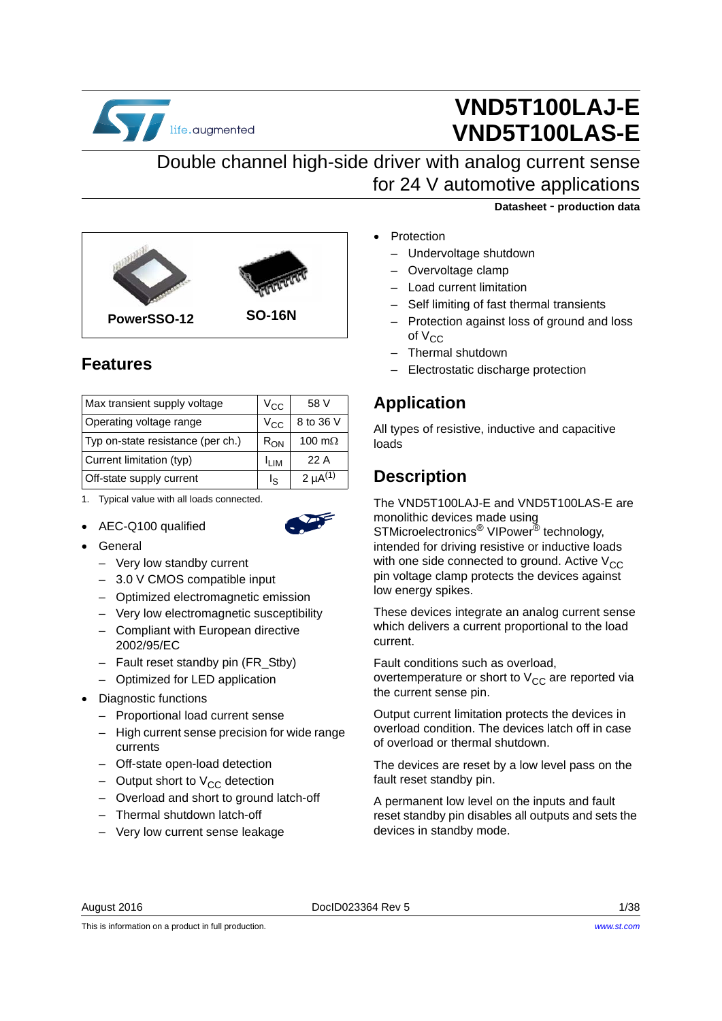

# **VND5T100LAJ-E VND5T100LAS-E**

## Double channel high-side driver with analog current sense for 24 V automotive applications



## <span id="page-0-0"></span>**Features**

| Max transient supply voltage      | V <sub>CC</sub>   | 58 V            |
|-----------------------------------|-------------------|-----------------|
| Operating voltage range           | V <sub>CC</sub>   | 8 to 36 V       |
| Typ on-state resistance (per ch.) | $R_{ON}$          | 100 m $\Omega$  |
| Current limitation (typ)          | l <sub>l IM</sub> | 22 A            |
| Off-state supply current          | I۹                | 2 $\mu A^{(1)}$ |

1. Typical value with all loads connected.

• AEC-Q100 qualified



- General
	- Very low standby current
	- 3.0 V CMOS compatible input
	- Optimized electromagnetic emission
	- Very low electromagnetic susceptibility
	- Compliant with European directive 2002/95/EC
	- Fault reset standby pin (FR\_Stby)
	- Optimized for LED application
- Diagnostic functions
	- Proportional load current sense
	- High current sense precision for wide range currents
	- Off-state open-load detection
	- Output short to  $V_{CC}$  detection
	- Overload and short to ground latch-off
	- Thermal shutdown latch-off
	- Very low current sense leakage

**Datasheet** - **production data**

- Protection
	- Undervoltage shutdown
	- Overvoltage clamp
	- Load current limitation
	- Self limiting of fast thermal transients
	- Protection against loss of ground and loss of  $V_{CC}$
	- Thermal shutdown
	- Electrostatic discharge protection

## **Application**

All types of resistive, inductive and capacitive loads

## **Description**

The VND5T100LAJ-E and VND5T100LAS-E are monolithic devices made using STMicroelectronics<sup>®</sup> VIPower<sup>®</sup> technology, intended for driving resistive or inductive loads with one side connected to ground. Active  $V_{CC}$ pin voltage clamp protects the devices against low energy spikes.

These devices integrate an analog current sense which delivers a current proportional to the load current.

Fault conditions such as overload, overtemperature or short to  $V_{CC}$  are reported via the current sense pin.

Output current limitation protects the devices in overload condition. The devices latch off in case of overload or thermal shutdown.

The devices are reset by a low level pass on the fault reset standby pin.

A permanent low level on the inputs and fault reset standby pin disables all outputs and sets the devices in standby mode.

This is information on a product in full production.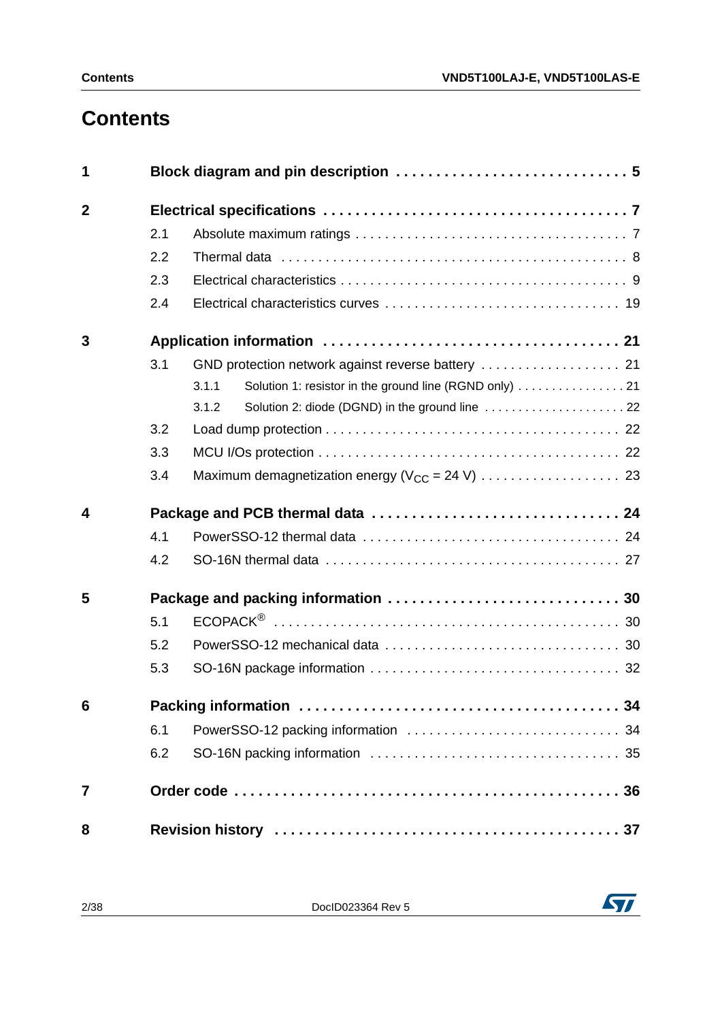# **Contents**

| 1               |     |                                                                 |
|-----------------|-----|-----------------------------------------------------------------|
| $\overline{2}$  |     |                                                                 |
|                 | 2.1 |                                                                 |
|                 | 2.2 |                                                                 |
|                 | 2.3 |                                                                 |
|                 | 2.4 |                                                                 |
| 3               |     |                                                                 |
|                 | 3.1 | GND protection network against reverse battery  21              |
|                 |     | Solution 1: resistor in the ground line (RGND only) 21<br>3.1.1 |
|                 |     | 3.1.2                                                           |
|                 | 3.2 |                                                                 |
|                 | 3.3 |                                                                 |
|                 | 3.4 |                                                                 |
| 4               |     |                                                                 |
|                 | 4.1 |                                                                 |
|                 | 4.2 |                                                                 |
| 5               |     |                                                                 |
|                 | 5.1 |                                                                 |
|                 | 5.2 |                                                                 |
|                 | 5.3 |                                                                 |
| $6\phantom{1}6$ |     |                                                                 |
|                 | 6.1 |                                                                 |
|                 | 6.2 |                                                                 |
| 7               |     |                                                                 |
| 8               |     |                                                                 |

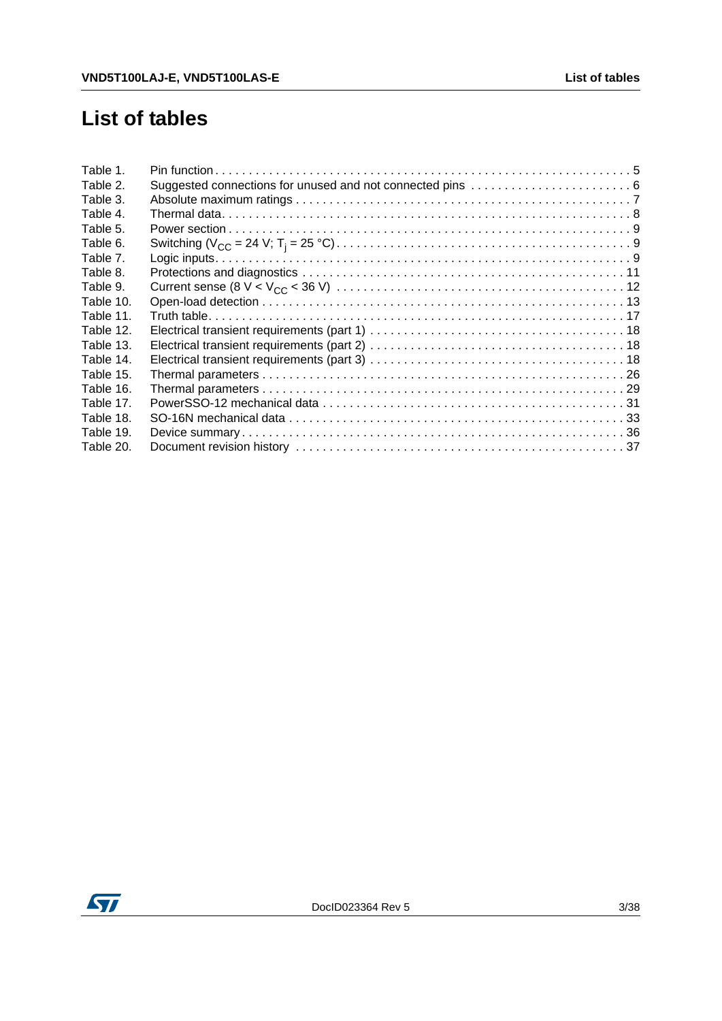# **List of tables**

| Table 1.  |  |
|-----------|--|
| Table 2.  |  |
| Table 3.  |  |
| Table 4.  |  |
| Table 5.  |  |
| Table 6.  |  |
| Table 7.  |  |
| Table 8.  |  |
| Table 9.  |  |
| Table 10. |  |
| Table 11. |  |
| Table 12. |  |
| Table 13. |  |
| Table 14. |  |
| Table 15. |  |
| Table 16. |  |
| Table 17. |  |
| Table 18. |  |
| Table 19. |  |
| Table 20. |  |

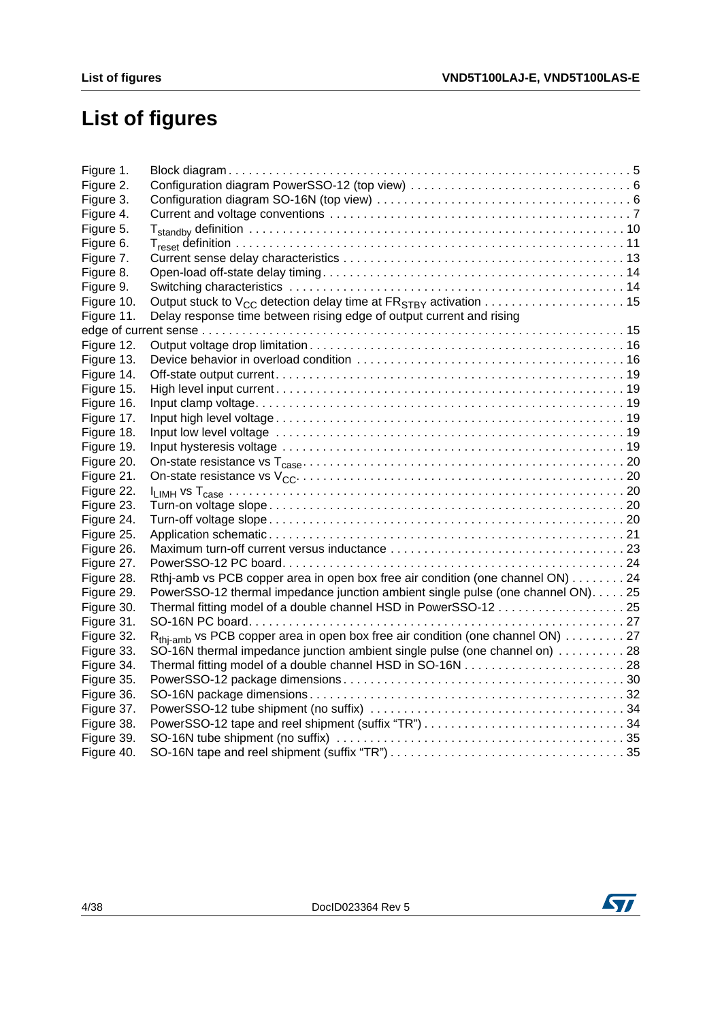# **List of figures**

| Figure 1.  |                                                                                            |  |
|------------|--------------------------------------------------------------------------------------------|--|
| Figure 2.  |                                                                                            |  |
| Figure 3.  |                                                                                            |  |
| Figure 4.  |                                                                                            |  |
| Figure 5.  |                                                                                            |  |
| Figure 6.  |                                                                                            |  |
| Figure 7.  |                                                                                            |  |
| Figure 8.  |                                                                                            |  |
| Figure 9.  |                                                                                            |  |
| Figure 10. |                                                                                            |  |
| Figure 11. | Delay response time between rising edge of output current and rising                       |  |
|            |                                                                                            |  |
| Figure 12. |                                                                                            |  |
| Figure 13. |                                                                                            |  |
| Figure 14. |                                                                                            |  |
| Figure 15. |                                                                                            |  |
| Figure 16. |                                                                                            |  |
| Figure 17. |                                                                                            |  |
| Figure 18. |                                                                                            |  |
| Figure 19. |                                                                                            |  |
| Figure 20. |                                                                                            |  |
| Figure 21. |                                                                                            |  |
| Figure 22. |                                                                                            |  |
| Figure 23. |                                                                                            |  |
| Figure 24. |                                                                                            |  |
| Figure 25. |                                                                                            |  |
| Figure 26. |                                                                                            |  |
| Figure 27. |                                                                                            |  |
| Figure 28. | Rthj-amb vs PCB copper area in open box free air condition (one channel ON) 24             |  |
| Figure 29. | PowerSSO-12 thermal impedance junction ambient single pulse (one channel ON). 25           |  |
| Figure 30. |                                                                                            |  |
| Figure 31. |                                                                                            |  |
| Figure 32. | R <sub>thi-amb</sub> vs PCB copper area in open box free air condition (one channel ON) 27 |  |
| Figure 33. | SO-16N thermal impedance junction ambient single pulse (one channel on) 28                 |  |
| Figure 34. |                                                                                            |  |
| Figure 35. |                                                                                            |  |
| Figure 36. |                                                                                            |  |
| Figure 37. |                                                                                            |  |
| Figure 38. |                                                                                            |  |
| Figure 39. |                                                                                            |  |
| Figure 40. |                                                                                            |  |

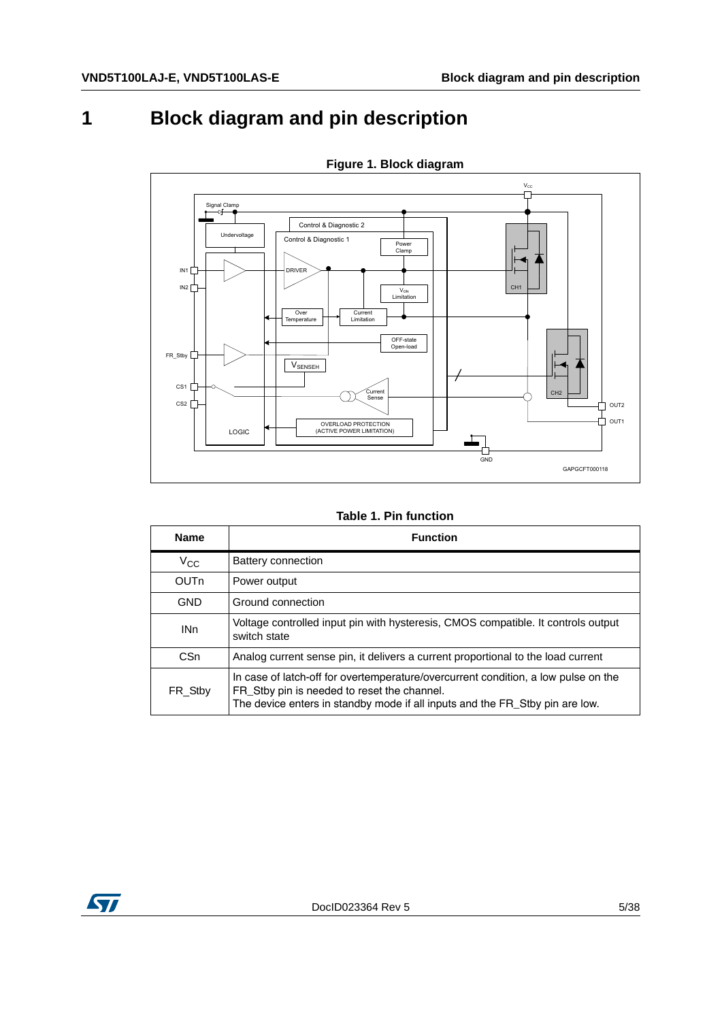# <span id="page-4-0"></span>**1 Block diagram and pin description**

<span id="page-4-2"></span>

**Figure 1. Block diagram**

**Table 1. Pin function**

<span id="page-4-1"></span>

| <b>Name</b>     | <b>Function</b>                                                                                                                                                                                                   |
|-----------------|-------------------------------------------------------------------------------------------------------------------------------------------------------------------------------------------------------------------|
| $V_{CC}$        | Battery connection                                                                                                                                                                                                |
| OUTn            | Power output                                                                                                                                                                                                      |
| <b>GND</b>      | Ground connection                                                                                                                                                                                                 |
| IN <sub>n</sub> | Voltage controlled input pin with hysteresis, CMOS compatible. It controls output<br>switch state                                                                                                                 |
| C <sub>Sn</sub> | Analog current sense pin, it delivers a current proportional to the load current                                                                                                                                  |
| FR Stby         | In case of latch-off for overtemperature/overcurrent condition, a low pulse on the<br>FR_Stby pin is needed to reset the channel.<br>The device enters in standby mode if all inputs and the FR_Stby pin are low. |

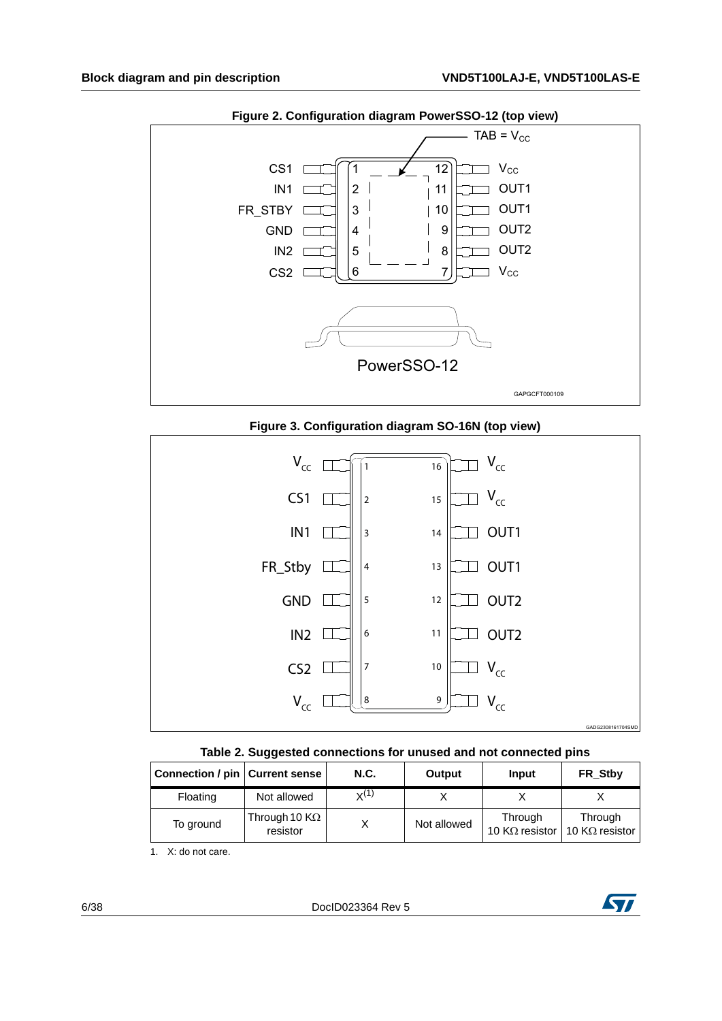<span id="page-5-1"></span>

**Figure 2. Configuration diagram PowerSSO-12 (top view)** 



<span id="page-5-2"></span>



<span id="page-5-0"></span>

| Connection / pin   Current sense |                                           | <b>N.C.</b> | Output      | Input                             | FR Stby                           |
|----------------------------------|-------------------------------------------|-------------|-------------|-----------------------------------|-----------------------------------|
| Floating                         | Not allowed                               | $X^{(1)}$   |             |                                   |                                   |
| To ground                        | Through 10 $\mathsf{K}\Omega$<br>resistor |             | Not allowed | Through<br>10 K $\Omega$ resistor | Through<br>10 K $\Omega$ resistor |

1. X: do not care.

6/38 DocID023364 Rev 5

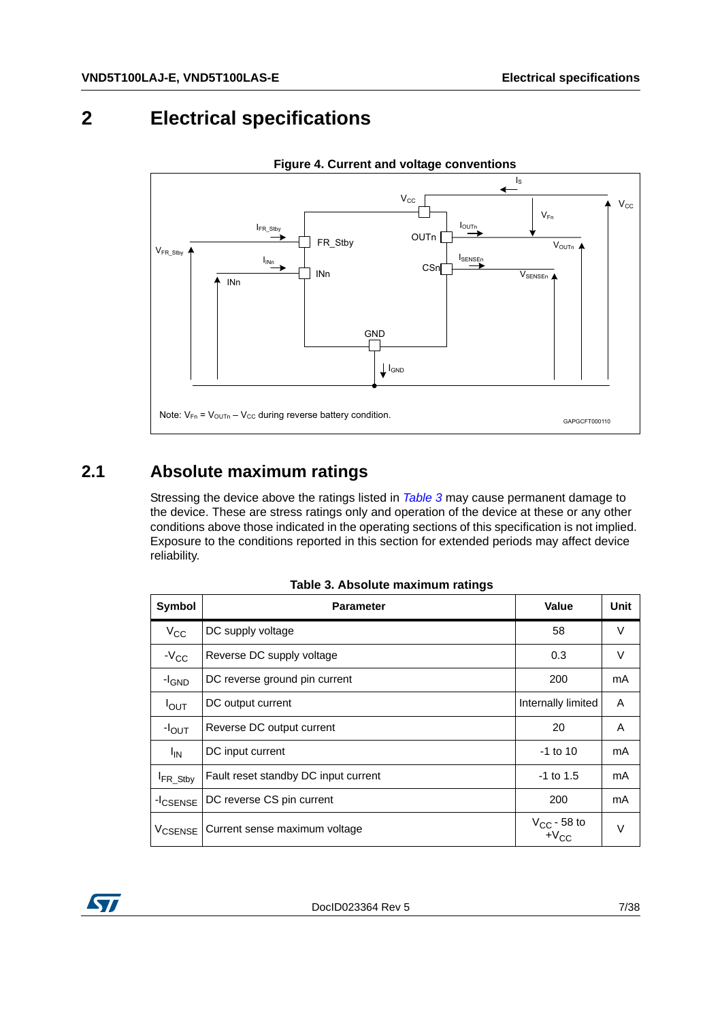# <span id="page-6-0"></span>**2 Electrical specifications**

<span id="page-6-3"></span>

#### **Figure 4. Current and voltage conventions**

#### <span id="page-6-1"></span>**2.1 Absolute maximum ratings**

Stressing the device above the ratings listed in *[Table](#page-6-2) 3* may cause permanent damage to the device. These are stress ratings only and operation of the device at these or any other conditions above those indicated in the operating sections of this specification is not implied. Exposure to the conditions reported in this section for extended periods may affect device reliability.

<span id="page-6-2"></span>

| Symbol               | <b>Parameter</b>                     | Value                         | Unit   |  |  |
|----------------------|--------------------------------------|-------------------------------|--------|--|--|
| $V_{CC}$             | DC supply voltage                    | 58                            | $\vee$ |  |  |
| $-V_{CC}$            | Reverse DC supply voltage<br>0.3     |                               |        |  |  |
| -I <sub>GND</sub>    | DC reverse ground pin current        | 200                           | mA     |  |  |
| $I_{\text{OUT}}$     | DC output current                    | Internally limited            | A      |  |  |
| $-IOUT$              | Reverse DC output current            | 20                            | A      |  |  |
| $I_{IN}$             | DC input current                     | $-1$ to 10                    | mA     |  |  |
| FR_Stby              | Fault reset standby DC input current | $-1$ to 1.5                   | mA     |  |  |
| -I <sub>CSENSE</sub> | DC reverse CS pin current<br>200     |                               | mA     |  |  |
| V <sub>CSENSE</sub>  | Current sense maximum voltage        | $V_{CC}$ - 58 to<br>$+V_{CC}$ | $\vee$ |  |  |

**Table 3. Absolute maximum ratings** 

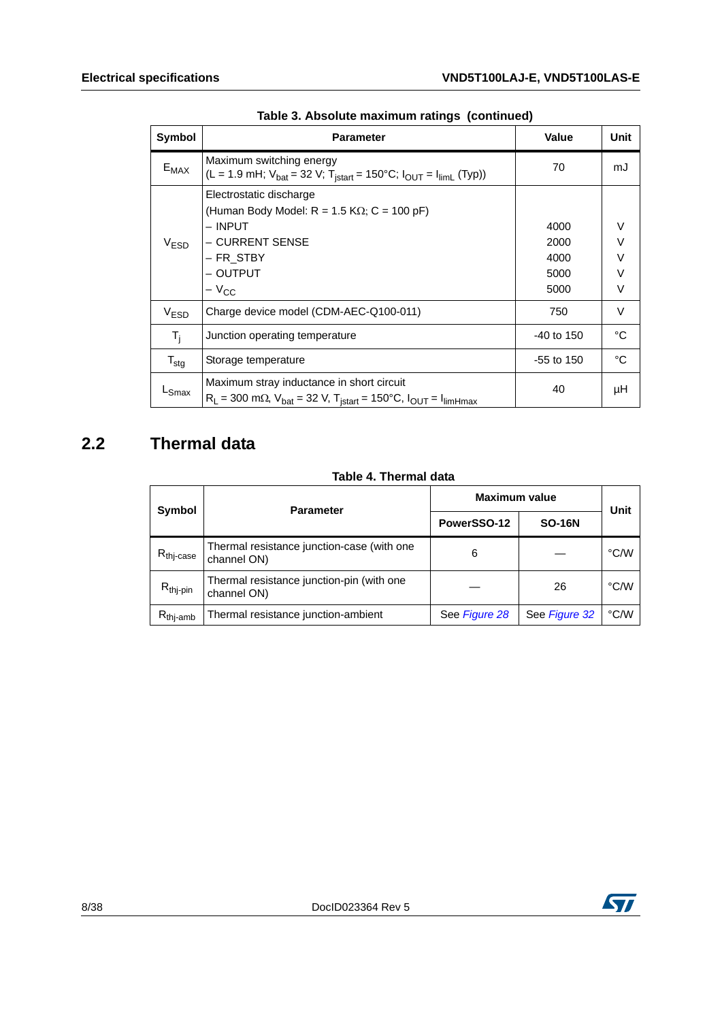| Symbol           | <b>Parameter</b>                                                                                                                                  | <b>Value</b>                         | Unit                                      |  |
|------------------|---------------------------------------------------------------------------------------------------------------------------------------------------|--------------------------------------|-------------------------------------------|--|
| $E_{MAX}$        | Maximum switching energy<br>(L = 1.9 mH; $V_{bat}$ = 32 V; T <sub>istart</sub> = 150°C; $I_{OUT}$ = $I_{limit}$ (Typ))                            | 70                                   | mJ                                        |  |
| V <sub>ESD</sub> | Electrostatic discharge<br>(Human Body Model: $R = 1.5 K\Omega$ ; C = 100 pF)<br>– INPUT<br>– CURRENT SENSE<br>- FR_STBY<br>– OUTPUT<br>$-V_{CC}$ | 4000<br>2000<br>4000<br>5000<br>5000 | $\vee$<br>$\vee$<br>$\vee$<br>$\vee$<br>V |  |
| V <sub>ESD</sub> | Charge device model (CDM-AEC-Q100-011)                                                                                                            | 750                                  | V                                         |  |
| $T_i$            | Junction operating temperature                                                                                                                    | $-40$ to 150                         | °C                                        |  |
| $T_{\text{stg}}$ | Storage temperature                                                                                                                               | -55 to 150                           | °C                                        |  |
| LSmax            | Maximum stray inductance in short circuit<br>$R_L$ = 300 m $\Omega$ , $V_{bat}$ = 32 V, T <sub>istart</sub> = 150°C, $I_{OUT}$ = $I_{limHmax}$    | 40                                   | μH                                        |  |

| Table 3. Absolute maximum ratings (continued) |  |  |  |  |  |
|-----------------------------------------------|--|--|--|--|--|
|-----------------------------------------------|--|--|--|--|--|

## <span id="page-7-0"></span>**2.2 Thermal data**

#### **Table 4. Thermal data**

<span id="page-7-1"></span>

| Symbol                | <b>Parameter</b>                                          | <b>Maximum value</b> | Unit          |      |
|-----------------------|-----------------------------------------------------------|----------------------|---------------|------|
|                       |                                                           | PowerSSO-12          | <b>SO-16N</b> |      |
| R <sub>thj-case</sub> | Thermal resistance junction-case (with one<br>channel ON) | 6                    |               | °C/W |
| $R_{thj-pin}$         | Thermal resistance junction-pin (with one<br>channel ON)  |                      | 26            | °C/W |
| $R_{\text{thi-amb}}$  | Thermal resistance junction-ambient                       | See Figure 28        | See Figure 32 | °C/W |

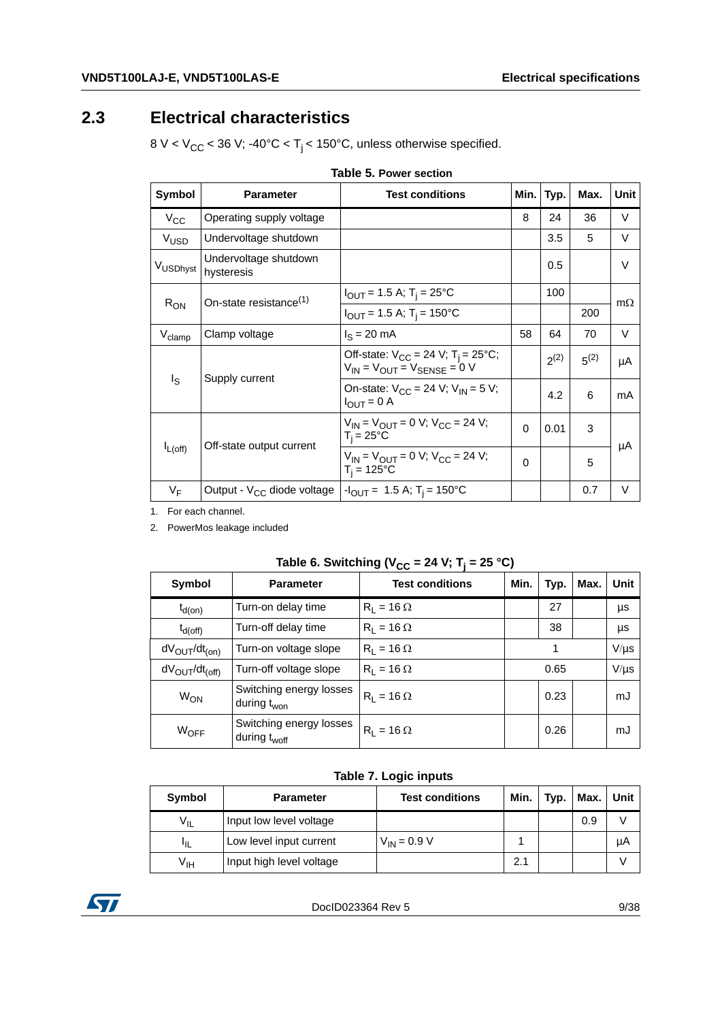## <span id="page-8-0"></span>**2.3 Electrical characteristics**

8 V <  $V_{CC}$  < 36 V; -40°C <  $T_j$  < 150°C, unless otherwise specified.

<span id="page-8-1"></span>

| Operating supply voltage            |                                                                                                                 |          |      |                                                                                                |           |
|-------------------------------------|-----------------------------------------------------------------------------------------------------------------|----------|------|------------------------------------------------------------------------------------------------|-----------|
|                                     |                                                                                                                 | 8        | 24   | 36                                                                                             | V         |
| Undervoltage shutdown               |                                                                                                                 |          | 3.5  | 5                                                                                              | $\vee$    |
| Undervoltage shutdown<br>hysteresis |                                                                                                                 |          | 0.5  |                                                                                                | $\vee$    |
|                                     | $I_{\text{OUT}}$ = 1.5 A; T <sub>i</sub> = 25°C                                                                 |          | 100  |                                                                                                | $m\Omega$ |
|                                     | $I_{OUT}$ = 1.5 A; T <sub>i</sub> = 150°C                                                                       |          |      | Max.<br>Unit<br>Typ.<br>200<br>64<br>70<br>$2^{(2)}$<br>$5^{(2)}$<br>4.2<br>6<br>3<br>5<br>0.7 |           |
| Clamp voltage                       | $IS = 20$ mA                                                                                                    | 58       |      |                                                                                                | V         |
|                                     | Off-state: $V_{CC} = 24 \text{ V}; T_i = 25^{\circ}\text{C};$<br>$V_{IN}$ = $V_{OUIT}$ = $V_{SENSF}$ = 0 V      |          |      |                                                                                                | μA        |
|                                     | On-state: $V_{CC}$ = 24 V; $V_{IN}$ = 5 V;<br>$I_{\text{OUT}} = 0$ A                                            |          |      |                                                                                                | mA        |
|                                     | $V_{IN} = V_{OUIT} = 0$ V; $V_{CC} = 24$ V;<br>$T_i = 25^{\circ}C$                                              | $\Omega$ | 0.01 |                                                                                                | μA        |
|                                     | $V_{IN}$ = $V_{OUT}$ = 0 V; $V_{CC}$ = 24 V;<br>$T_i = 125^{\circ}C$                                            | $\Omega$ |      |                                                                                                |           |
| Output - $V_{CC}$ diode voltage     | $-I_{\text{OUT}}$ = 1.5 A; T <sub>i</sub> = 150°C                                                               |          |      |                                                                                                | $\vee$    |
|                                     | On-state resistance <sup>(1)</sup><br>Supply current<br>Off-state output current<br>المستمر والمساحين والمستحدث |          |      |                                                                                                |           |

1. For each channel.

2. PowerMos leakage included

<span id="page-8-2"></span>

| Table 6. Switching ( $v_{\rm CC}$ = 24 v, $v_{\rm i}$ = 25 G) |                                                     |                        |      |      |      |           |  |  |
|---------------------------------------------------------------|-----------------------------------------------------|------------------------|------|------|------|-----------|--|--|
| Symbol                                                        | <b>Parameter</b>                                    | <b>Test conditions</b> | Min. | Typ. | Max. | Unit      |  |  |
| $t_{d(on)}$                                                   | Turn-on delay time                                  | $R_1 = 16 \Omega$      |      | 27   |      | μs        |  |  |
| $t_{d(off)}$                                                  | Turn-off delay time                                 | $R_1 = 16 \Omega$      |      | 38   |      | μs        |  |  |
| $dV_{OUT}/dt_{(on)}$                                          | Turn-on voltage slope                               | $R_1 = 16 \Omega$      |      | 1    |      | $V/\mu s$ |  |  |
| $dV_{\text{OUT}}/dt_{\text{(off)}}$                           | Turn-off voltage slope                              | $R_1 = 16 \Omega$      | 0.65 |      |      | $V/\mu s$ |  |  |
| <b>W<sub>ON</sub></b>                                         | Switching energy losses<br>during t <sub>won</sub>  | $R_1 = 16 \Omega$      |      | 0.23 |      | mJ        |  |  |
| $W_{OFF}$                                                     | Switching energy losses<br>during t <sub>woff</sub> | $R_1 = 16 \Omega$      |      | 0.26 |      | mJ        |  |  |

#### Table 6. Switching (V<sub>CC</sub> = 24 V; T<sub>j</sub> = 25 °C)

#### **Table 7. Logic inputs**

<span id="page-8-3"></span>

| Symbol          | <b>Parameter</b>         | <b>Test conditions</b> | Min. | Typ. | Max. | Unit |
|-----------------|--------------------------|------------------------|------|------|------|------|
| V <sub>IL</sub> | Input low level voltage  |                        |      |      | 0.9  |      |
| ЧL              | Low level input current  | $V_{IN} = 0.9 V$       |      |      |      | μA   |
| V <sub>IH</sub> | Input high level voltage |                        | 2.1  |      |      |      |

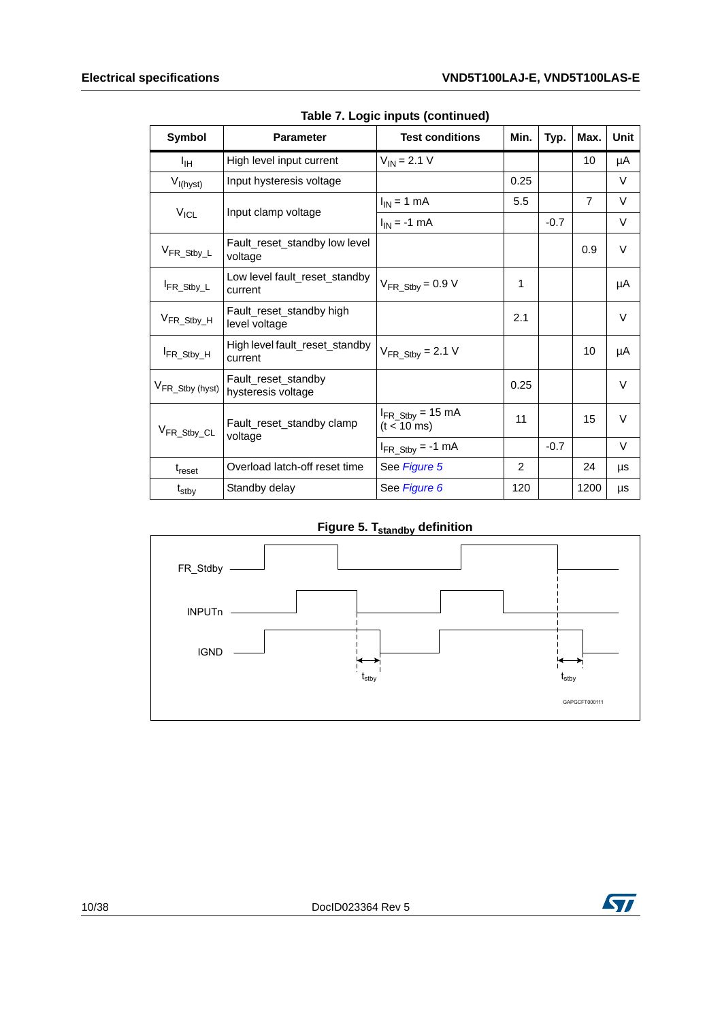| $1.$ Logio mpais (community) |                                           |                                                 |      |        |                |             |  |  |
|------------------------------|-------------------------------------------|-------------------------------------------------|------|--------|----------------|-------------|--|--|
| <b>Symbol</b>                | <b>Parameter</b>                          | <b>Test conditions</b>                          | Min. | Typ.   | Max.           | <b>Unit</b> |  |  |
| ŀщ                           | High level input current                  | $V_{IN} = 2.1 V$                                |      |        | 10             | μA          |  |  |
| $V_{I(hyst)}$                | Input hysteresis voltage                  |                                                 | 0.25 |        |                | $\vee$      |  |  |
|                              | Input clamp voltage                       | $I_{IN}$ = 1 mA                                 | 5.5  |        | $\overline{7}$ | $\vee$      |  |  |
| $V_{ICL}$                    |                                           | $I_{IN} = -1$ mA                                |      | $-0.7$ |                | V           |  |  |
| V <sub>FR_Stby_L</sub>       | Fault reset standby low level<br>voltage  |                                                 |      |        | 0.9            | $\vee$      |  |  |
| FR_Stby_L                    | Low level fault reset standby<br>current  | $V_{FR\_Stby} = 0.9 V$                          | 1    |        |                | μA          |  |  |
| V <sub>FR_Stby_H</sub>       | Fault_reset_standby high<br>level voltage |                                                 | 2.1  |        |                | $\vee$      |  |  |
| FR_Stby_H                    | High level fault_reset_standby<br>current | $V_{FR\_Stby} = 2.1 V$                          |      |        | 10             | μA          |  |  |
| V <sub>FR_Stby</sub> (hyst)  | Fault_reset_standby<br>hysteresis voltage |                                                 | 0.25 |        |                | $\vee$      |  |  |
| V <sub>FR_Stby_CL</sub>      | Fault_reset_standby clamp                 | $I_{FR\_Stby}$ = 15 mA<br>$(t < 10 \text{ ms})$ | 11   |        | 15             | $\vee$      |  |  |
|                              | voltage                                   | $I_{FR\_Stby} = -1$ mA                          |      | $-0.7$ |                | $\vee$      |  |  |
| $t_{\text{reset}}$           | Overload latch-off reset time             | See Figure 5                                    | 2    |        | 24             | μs          |  |  |
| t <sub>stby</sub>            | Standby delay                             | See Figure 6                                    | 120  |        | 1200           | μs          |  |  |

**Table 7. Logic inputs (continued)**

**Figure 5. T**<sub>standby</sub> definition

<span id="page-9-0"></span>

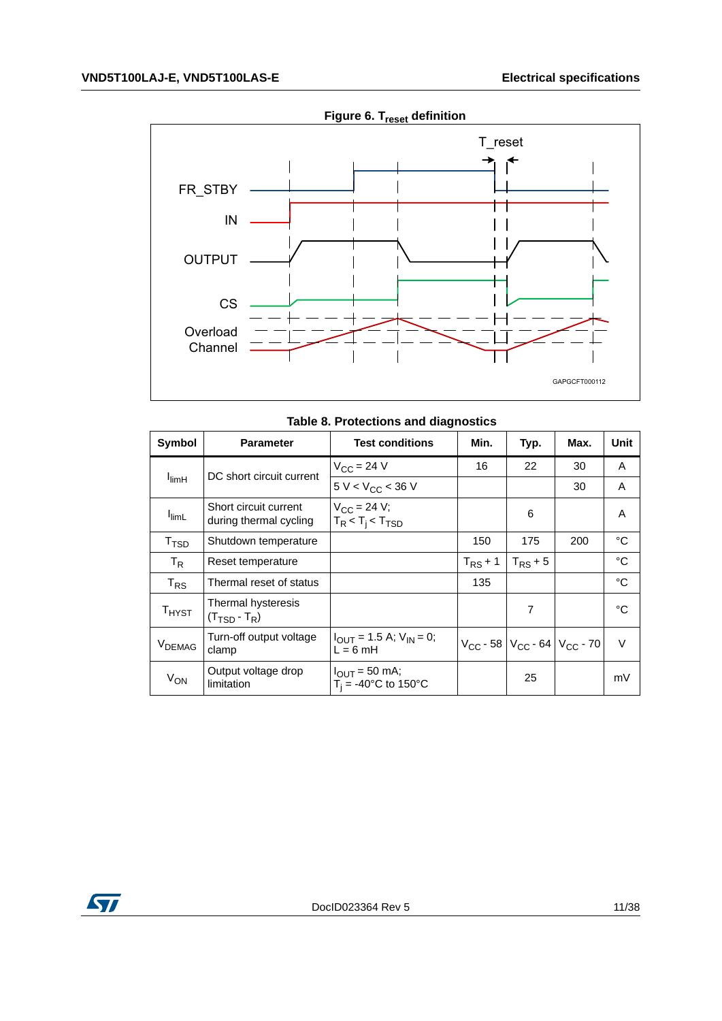<span id="page-10-1"></span>

**Figure 6. T**<sub>reset</sub> definition

|  |  |  | Table 8. Protections and diagnostics |
|--|--|--|--------------------------------------|
|--|--|--|--------------------------------------|

<span id="page-10-0"></span>

| Symbol                                                     | <b>Parameter</b>                                | <b>Test conditions</b>                                             | Min.         | Typ.                                      | Max. | Unit   |
|------------------------------------------------------------|-------------------------------------------------|--------------------------------------------------------------------|--------------|-------------------------------------------|------|--------|
|                                                            | DC short circuit current                        | $V_{\rm CC}$ = 24 V                                                | 16           | 22                                        | 30   | A      |
| <sup>I</sup> limH                                          |                                                 | $5 V < V_{CC} < 36 V$                                              |              |                                           | 30   | A      |
| <b>I</b> limL                                              | Short circuit current<br>during thermal cycling | $V_{CC}$ = 24 V;<br>$T_R < T_i < T_{TSD}$                          |              | 6                                         |      | A      |
| T <sub>TSD</sub>                                           | Shutdown temperature                            |                                                                    | 150          | 175                                       | 200  | °C     |
| $T_R$                                                      | Reset temperature                               |                                                                    | $T_{RS}$ + 1 | $T_{RS}$ + 5                              |      | °C     |
| T <sub>RS</sub>                                            | Thermal reset of status                         |                                                                    | 135          |                                           |      | °C     |
| $\mathsf{T}_{\mathsf{H} \mathsf{Y} \mathsf{S} \mathsf{T}}$ | Thermal hysteresis<br>$(T_{\text{TSD}} - T_R)$  |                                                                    |              | $\overline{7}$                            |      | °C     |
| V <sub>DEMAG</sub>                                         | Turn-off output voltage<br>clamp                | $I_{\text{OUT}} = 1.5 \text{ A}; V_{\text{IN}} = 0;$<br>$L = 6$ mH |              | $V_{CC}$ - 58 $V_{CC}$ - 64 $V_{CC}$ - 70 |      | $\vee$ |
| V <sub>ON</sub>                                            | Output voltage drop<br>limitation               | $I_{\text{OUT}} = 50 \text{ mA}$ ;<br>$T_i = -40$ °C to 150°C      |              | 25                                        |      | mV     |

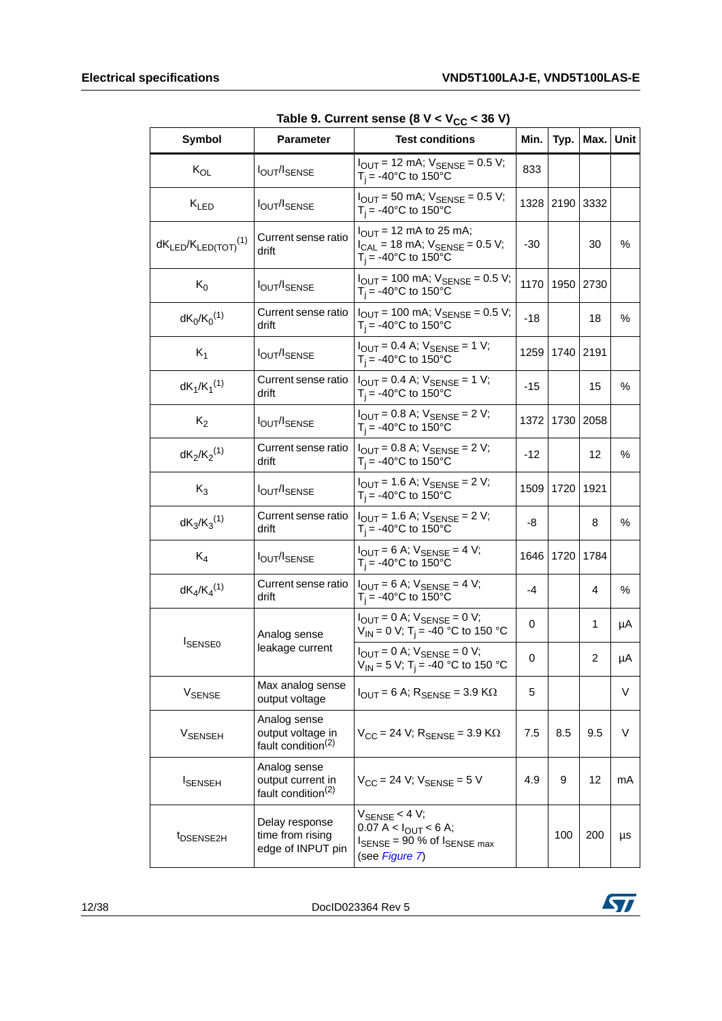<span id="page-11-0"></span>

| Symbol                                 | <b>Parameter</b>                                                    | rable 5. Current serise to $x < xCC < 30x$<br><b>Test conditions</b>                                                            | Min.  |           | Typ.   Max.   Unit |      |
|----------------------------------------|---------------------------------------------------------------------|---------------------------------------------------------------------------------------------------------------------------------|-------|-----------|--------------------|------|
| $K_{OL}$                               | <b>lout/ISENSE</b>                                                  | $I_{OUT}$ = 12 mA; $V_{SENSE}$ = 0.5 V;<br>$T_i = -40$ °C to 150°C                                                              | 833   |           |                    |      |
| $K_{LED}$                              | <b>IOUT/ISENSE</b>                                                  | $I_{\text{OUT}}$ = 50 mA; $V_{\text{SENSE}}$ = 0.5 V;<br>1328<br>$T_i = -40$ °C to 150°C                                        |       | 2190      | 3332               |      |
| $dK_{LED}/K_{LED(TOT)}$ <sup>(1)</sup> | Current sense ratio<br>drift                                        | $I_{\text{OUT}}$ = 12 mA to 25 mA;<br>$I_{CAL}$ = 18 mA; $V_{ SENSE}$ = 0.5 V;<br>$T_i = -40$ °C to 150°C                       |       |           | 30                 | ℅    |
| $K_0$                                  | <b>IOUT/ISENSE</b>                                                  | $I_{OUT}$ = 100 mA; $V_{SENSE}$ = 0.5 V;<br>$T_i = -40^{\circ}$ C to 150°C                                                      | 1170  | 1950 2730 |                    |      |
| $dK_0/K_0^{(1)}$                       | Current sense ratio<br>drift                                        | $I_{\text{OUT}}$ = 100 mA; $V_{\text{SENSE}}$ = 0.5 V;<br>$T_i = -40$ °C to 150°C                                               | $-18$ |           | 18                 | %    |
| $K_1$                                  | <b>IOUT/ISENSE</b>                                                  | $I_{OUT} = 0.4$ A; $V_{SENSE} = 1$ V;<br>1259<br>$T_i = -40$ °C to 150°C                                                        |       | 1740      | 2191               |      |
| $dK_1/K_1^{(1)}$                       | Current sense ratio<br>drift                                        | $I_{\text{OUT}} = 0.4$ A; $V_{\text{SENSE}} = 1$ V;<br>$T_i = -40$ °C to 150°C                                                  | -15   |           | 15                 | $\%$ |
| $K_2$                                  | <b>lout/ISENSE</b>                                                  | $I_{\text{OUT}} = 0.8$ A; $V_{\text{SENSE}} = 2$ V;<br>$T_i = -40$ °C to 150°C                                                  | 1372  | 1730      | 2058               |      |
| $dK_2/K_2^{(1)}$                       | Current sense ratio<br>drift                                        | $I_{OUT} = 0.8$ A; $V_{SENSE} = 2$ V;<br>$T_i = -40$ °C to 150°C                                                                | $-12$ |           | 12                 | $\%$ |
| $K_3$                                  | <b>lout/ISENSE</b>                                                  | $I_{OUT} = 1.6$ A; $V_{SENSE} = 2$ V;<br>$T_i = -40$ °C to 150°C                                                                | 1509  | 1720      | 1921               |      |
| $dK_3/K_3^{(1)}$                       | Current sense ratio<br>drift                                        | $I_{\text{OUT}} = 1.6 \text{ A}$ ; $V_{\text{SENSE}} = 2 \text{ V}$ ;<br>$T_i = -40$ °C to 150°C                                | -8    |           | 8                  | ℅    |
| $K_4$                                  | <b>lout/ISENSE</b>                                                  | $I_{\text{OUT}} = 6$ A; $V_{\text{SENSE}} = 4$ V;<br>$T_i = -40^{\circ}C$ to 150°C                                              | 1646  | 1720      | 1784               |      |
| $dK_4/K_4^{(1)}$                       | Current sense ratio<br>drift                                        | $I_{OUT} = 6$ A; $V_{SENSE} = 4$ V;<br>$T_i = -40$ °C to 150°C                                                                  | -4    |           | 4                  | $\%$ |
|                                        | Analog sense                                                        | $I_{OUT} = 0$ A; $V_{SENSE} = 0$ V;<br>$V_{IN}$ = 0 V; T <sub>i</sub> = -40 °C to 150 °C                                        | 0     |           | 1                  | μA   |
| <b>I</b> SENSE0                        | leakage current                                                     | $I_{OUT} = 0$ A; $V_{SENSE} = 0$ V;<br>$V_{IN}$ = 5 V; T <sub>j</sub> = -40 °C to 150 °C                                        | 0     |           | $\overline{2}$     | μA   |
| V <sub>SENSE</sub>                     | Max analog sense<br>output voltage                                  | $I_{\text{OUT}} = 6$ A; $R_{\text{SENSE}} = 3.9$ K $\Omega$                                                                     | 5     |           |                    | V    |
| <b>V<sub>SENSEH</sub></b>              | Analog sense<br>output voltage in<br>fault condition <sup>(2)</sup> | $V_{CC}$ = 24 V; $R_{SENSE}$ = 3.9 K $\Omega$                                                                                   | 7.5   | 8.5       | 9.5                | V    |
| <b>I</b> SENSEH                        | Analog sense<br>output current in<br>fault condition <sup>(2)</sup> | $V_{CC}$ = 24 V; $V_{SENSE}$ = 5 V                                                                                              | 4.9   | 9         | 12                 | mA   |
| t <sub>DSENSE2H</sub>                  | Delay response<br>time from rising<br>edge of INPUT pin             | $V_{\text{SENSE}}$ < 4 V;<br>$0.07 A < I_{OUT} < 6 A;$<br>$I_{\text{SENSE}}$ = 90 % of $I_{\text{SENSE max}}$<br>(see Figure 7) |       | 100       | 200                | μs   |

12/38 DocID023364 Rev 5

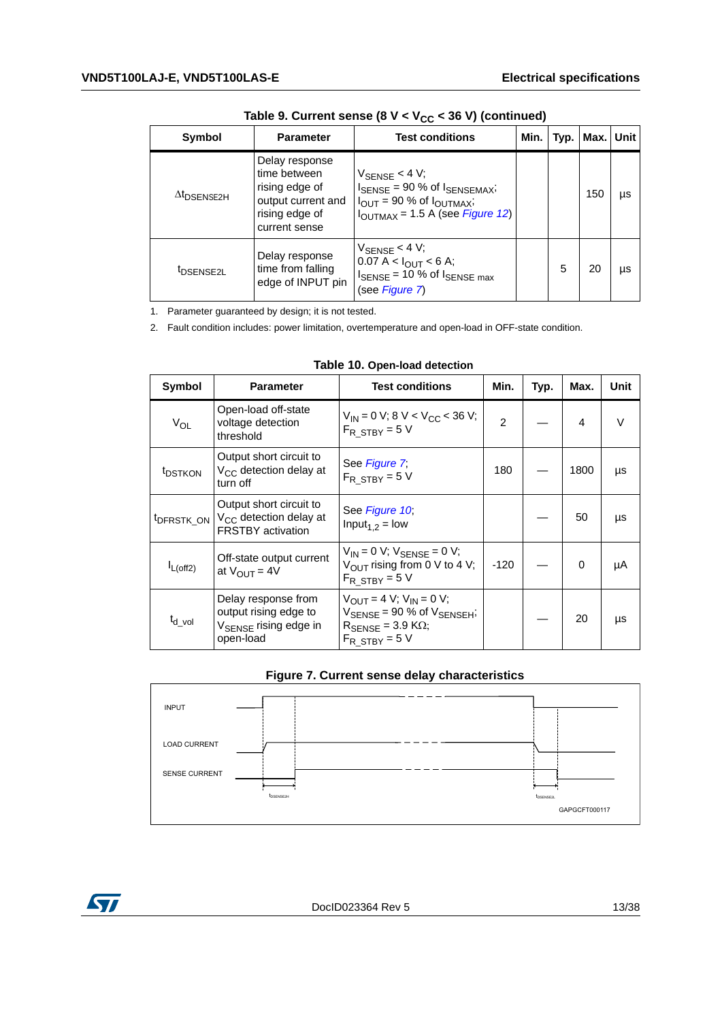| Symbol                         | <b>Parameter</b>                                                                                          | <b>Test conditions</b>                                                                                                                                                               | Min. | Typ. | Max. | l Unit |
|--------------------------------|-----------------------------------------------------------------------------------------------------------|--------------------------------------------------------------------------------------------------------------------------------------------------------------------------------------|------|------|------|--------|
| $\Delta t$ <sub>DSENSE2H</sub> | Delay response<br>time between<br>rising edge of<br>output current and<br>rising edge of<br>current sense | $V_{\text{SENSE}}$ < 4 V;<br>$I_{\text{SENSE}}$ = 90 % of $I_{\text{SENSEMAX}}$ ;<br>$I_{\text{OUT}}$ = 90 % of $I_{\text{OUTMAX}}$ ;<br>$I_{\text{OUTMAX}}$ = 1.5 A (see Figure 12) |      |      | 150  | μs     |
| <sup>t</sup> DSENSE2L          | Delay response<br>time from falling<br>edge of INPUT pin                                                  | $V_{\text{SENSE}}$ < 4 V;<br>$0.07 A < I_{OUT} < 6 A;$<br>$I_{\text{SENSE}}$ = 10 % of $I_{\text{SENSE max}}$<br>(see Figure 7)                                                      |      | 5    | 20   | μs     |

Table 9. Current sense  $(8 V < V_{CC} < 36 V)$  (continued)

1. Parameter guaranteed by design; it is not tested.

2. Fault condition includes: power limitation, overtemperature and open-load in OFF-state condition.

<span id="page-12-0"></span>

| Symbol              | <b>Parameter</b>                                                                                                   | <b>Test conditions</b>                                                                                                                              | Min.          | Typ. | Max.     | Unit |
|---------------------|--------------------------------------------------------------------------------------------------------------------|-----------------------------------------------------------------------------------------------------------------------------------------------------|---------------|------|----------|------|
| $V_{OL}$            | Open-load off-state<br>voltage detection<br>threshold                                                              | $V_{IN}$ = 0 V; 8 V < V <sub>CC</sub> < 36 V;<br>$F_R$ STBY = 5 V                                                                                   | $\mathcal{P}$ |      | 4        | V    |
| <sup>t</sup> DSTKON | Output short circuit to<br>V <sub>CC</sub> detection delay at<br>turn off                                          | See Figure 7;<br>$F_R$ STBY = 5 V                                                                                                                   | 180           |      | 1800     | μs   |
|                     | Output short circuit to<br>t <sub>DFRSTK_ON</sub>   V <sub>CC</sub> detection delay at<br><b>FRSTBY</b> activation | See Figure 10<br>Input <sub>1.2</sub> = low                                                                                                         |               |      | 50       | μs   |
| $I_{L(off2)}$       | Off-state output current<br>at $V_{\text{OUT}} = 4V$                                                               | $V_{IN} = 0 V$ ; $V_{SENSE} = 0 V$ ;<br>$V_{\text{OUT}}$ rising from 0 V to 4 V;<br>$F_R$ STBY = 5 V                                                | $-120$        |      | $\Omega$ | μA   |
| t <sub>d vol</sub>  | Delay response from<br>output rising edge to<br>V <sub>SENSE</sub> rising edge in<br>open-load                     | $V_{OIII} = 4 V$ ; $V_{IN} = 0 V$ ;<br>$V_{\text{SENSE}}$ = 90 % of $V_{\text{SENSEH}}$ ;<br>$R_{\rm SENSE}$ = 3.9 K $\Omega$ ;<br>$F_R$ STBY = 5 V |               |      | 20       | μs   |

|  |  | Table 10. Open-load detection |  |
|--|--|-------------------------------|--|
|--|--|-------------------------------|--|

| Figure 7. Current sense delay characteristics |
|-----------------------------------------------|
|-----------------------------------------------|

<span id="page-12-1"></span>

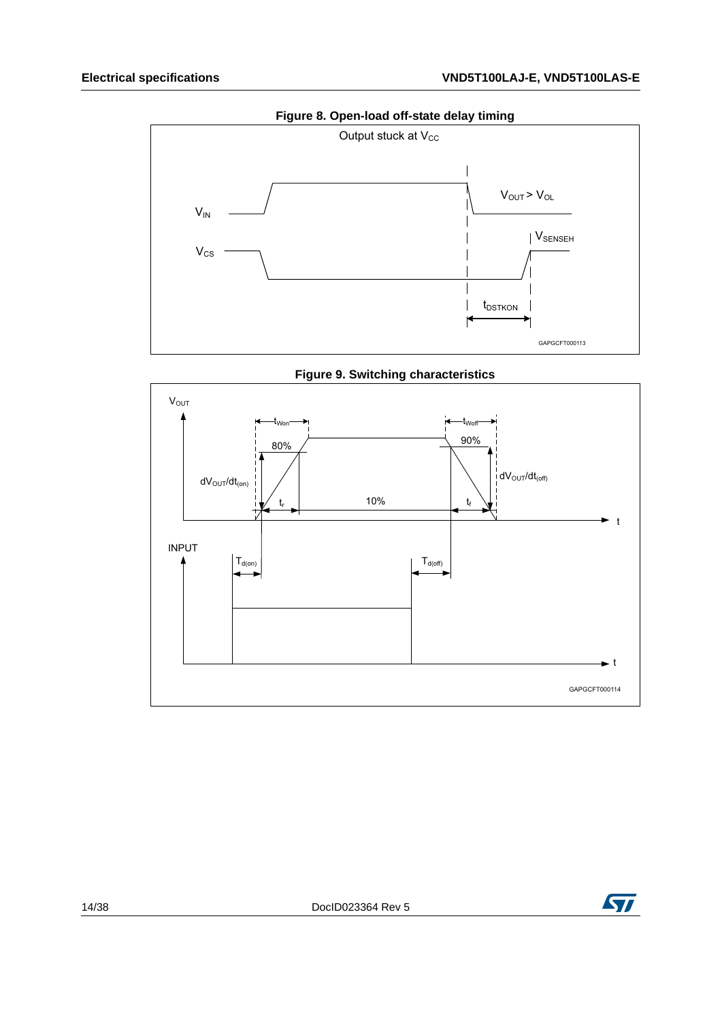<span id="page-13-0"></span>



<span id="page-13-1"></span>

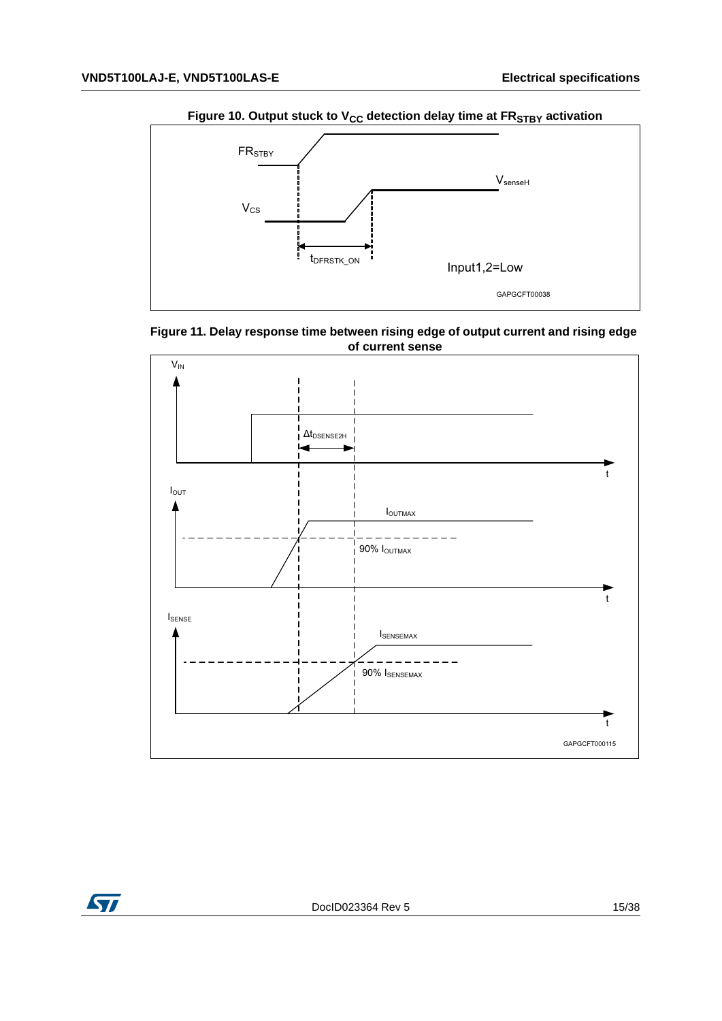<span id="page-14-0"></span>

<span id="page-14-1"></span>



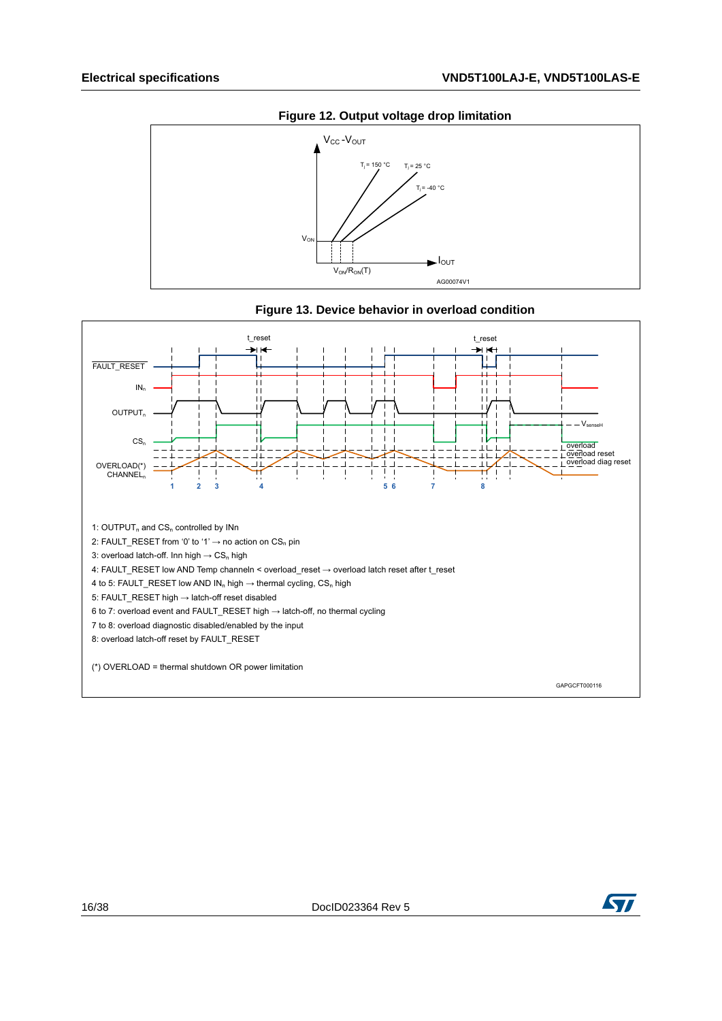<span id="page-15-0"></span>



<span id="page-15-1"></span>

**Figure 13. Device behavior in overload condition** 

GAPGCFT000116

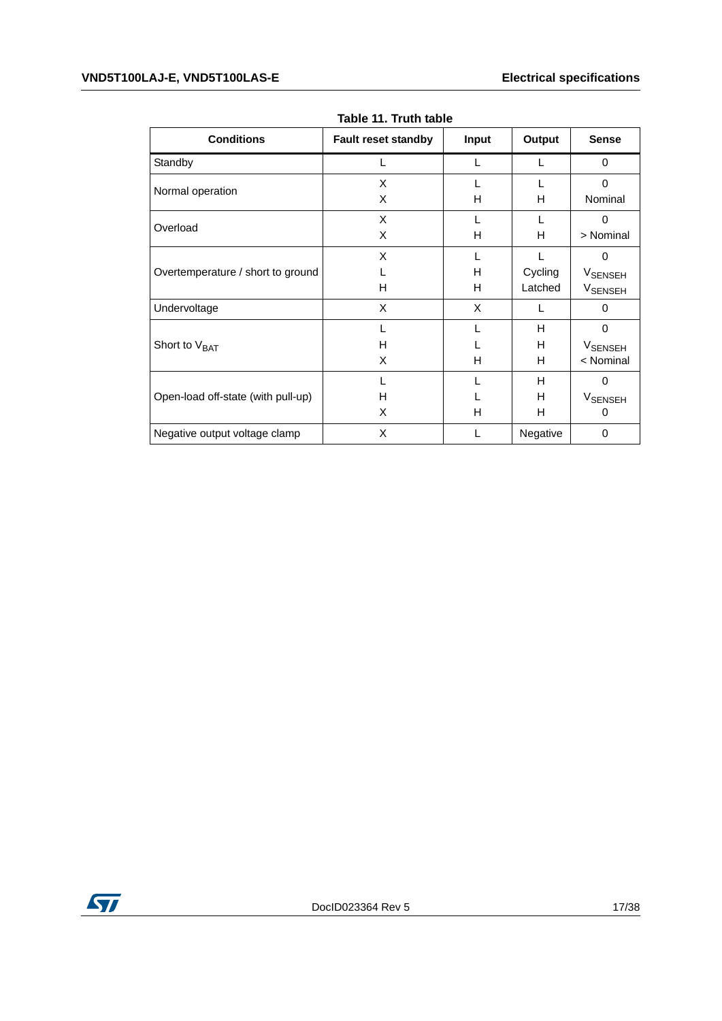<span id="page-16-0"></span>

| <b>Conditions</b>                  | <b>Fault reset standby</b> | <b>Input</b> | Output   | <b>Sense</b>              |
|------------------------------------|----------------------------|--------------|----------|---------------------------|
| Standby                            |                            |              | L        | $\Omega$                  |
| Normal operation                   | X                          |              |          | $\Omega$                  |
|                                    | X                          | н            | н        | Nominal                   |
| Overload                           | X                          |              |          | $\Omega$                  |
|                                    | X                          | н            | н        | > Nominal                 |
|                                    | X                          |              |          | $\Omega$                  |
| Overtemperature / short to ground  |                            | H            | Cycling  | V <sub>SENSEH</sub>       |
|                                    | H                          | H            | Latched  | <b>V<sub>SENSEH</sub></b> |
| Undervoltage                       | X                          | X            | L        | 0                         |
|                                    |                            |              | H        | $\Omega$                  |
| Short to V <sub>BAT</sub>          | H                          |              | H        | <b>V<sub>SENSEH</sub></b> |
|                                    | X                          | н            | н        | < Nominal                 |
|                                    |                            |              | H        | 0                         |
| Open-load off-state (with pull-up) | H                          |              | H        | <b>VSENSEH</b>            |
|                                    | X                          | н            | н        | 0                         |
| Negative output voltage clamp      | X                          |              | Negative | 0                         |

**Table 11. Truth table**

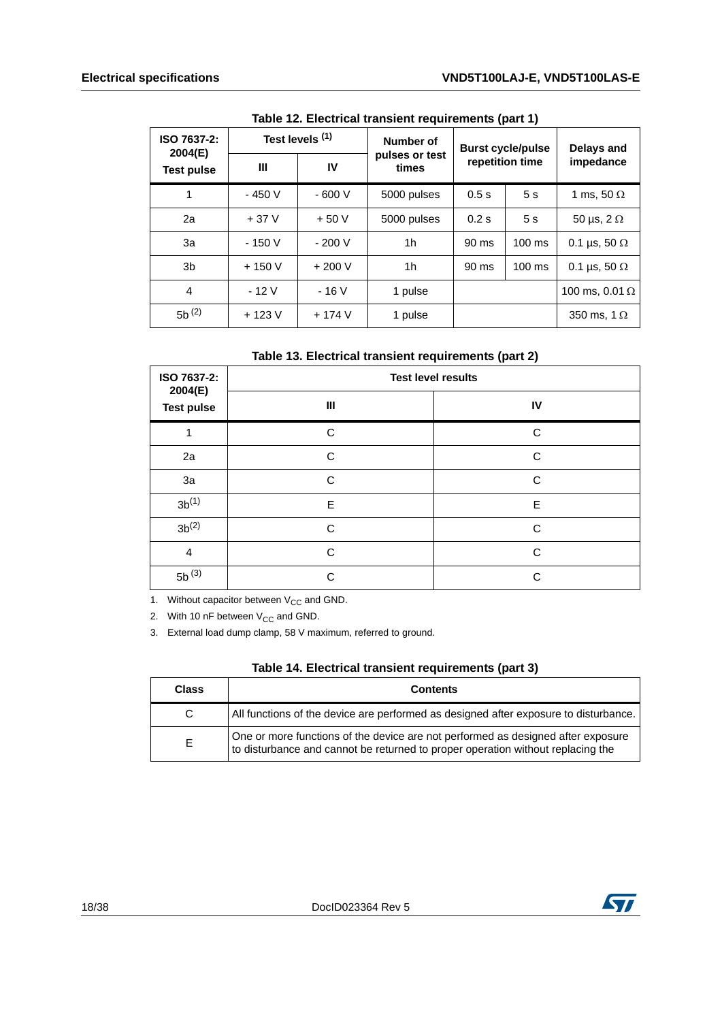<span id="page-17-0"></span>

| $1800$ TE. EIGOUTOM GARDIGHT IGGUILGHT AND TRAIN T |                 |         |                                            |                          |                |                       |  |
|----------------------------------------------------|-----------------|---------|--------------------------------------------|--------------------------|----------------|-----------------------|--|
| ISO 7637-2:                                        | Test levels (1) |         | Number of                                  | <b>Burst cycle/pulse</b> |                | <b>Delays and</b>     |  |
| 2004(E)<br><b>Test pulse</b>                       | Ш               | IV      | pulses or test<br>repetition time<br>times |                          |                | impedance             |  |
| 1                                                  | $-450V$         | $-600V$ | 5000 pulses                                | 0.5s                     | 5 <sub>s</sub> | 1 ms, 50 $\Omega$     |  |
| 2a                                                 | $+37V$          | $+50V$  | 5000 pulses                                | 0.2s                     | 5s             | 50 µs, $2 \Omega$     |  |
| За                                                 | $-150V$         | $-200V$ | 1 <sub>h</sub>                             | 90 ms                    | $100$ ms       | 0.1 µs, 50 $\Omega$   |  |
| 3 <sub>b</sub>                                     | $+150V$         | $+200V$ | 1h                                         | 90 ms                    | $100$ ms       | 0.1 µs, 50 $\Omega$   |  |
| 4                                                  | $-12V$          | $-16V$  | 1 pulse                                    |                          |                | 100 ms, 0.01 $\Omega$ |  |
| $5b^{(2)}$                                         | $+123V$         | $+174V$ | 1 pulse                                    |                          |                | 350 ms, 1 $\Omega$    |  |

**Table 12. Electrical transient requirements (part 1)**

<span id="page-17-1"></span>

| ISO 7637-2:<br>2004(E) | <b>Test level results</b> |    |  |
|------------------------|---------------------------|----|--|
| <b>Test pulse</b>      | Ш                         | IV |  |
| 1                      | C                         | C  |  |
| 2a                     | C                         | C  |  |
| 3a                     | C                         | C  |  |
| $3b^{(1)}$             | E                         | E  |  |
| $3b^{(2)}$             | C                         | C  |  |
| 4                      | C                         | C  |  |
| $5b^{(3)}$             | C                         | C  |  |

1. Without capacitor between  $V_{CC}$  and GND.

2. With 10 nF between  $V_{CC}$  and GND.

3. External load dump clamp, 58 V maximum, referred to ground.

|  |  |  | Table 14. Electrical transient requirements (part 3) |  |  |
|--|--|--|------------------------------------------------------|--|--|
|--|--|--|------------------------------------------------------|--|--|

<span id="page-17-2"></span>

| <b>Class</b> | <b>Contents</b>                                                                                                                                                     |
|--------------|---------------------------------------------------------------------------------------------------------------------------------------------------------------------|
| C.           | All functions of the device are performed as designed after exposure to disturbance.                                                                                |
| F.           | One or more functions of the device are not performed as designed after exposure<br>to disturbance and cannot be returned to proper operation without replacing the |

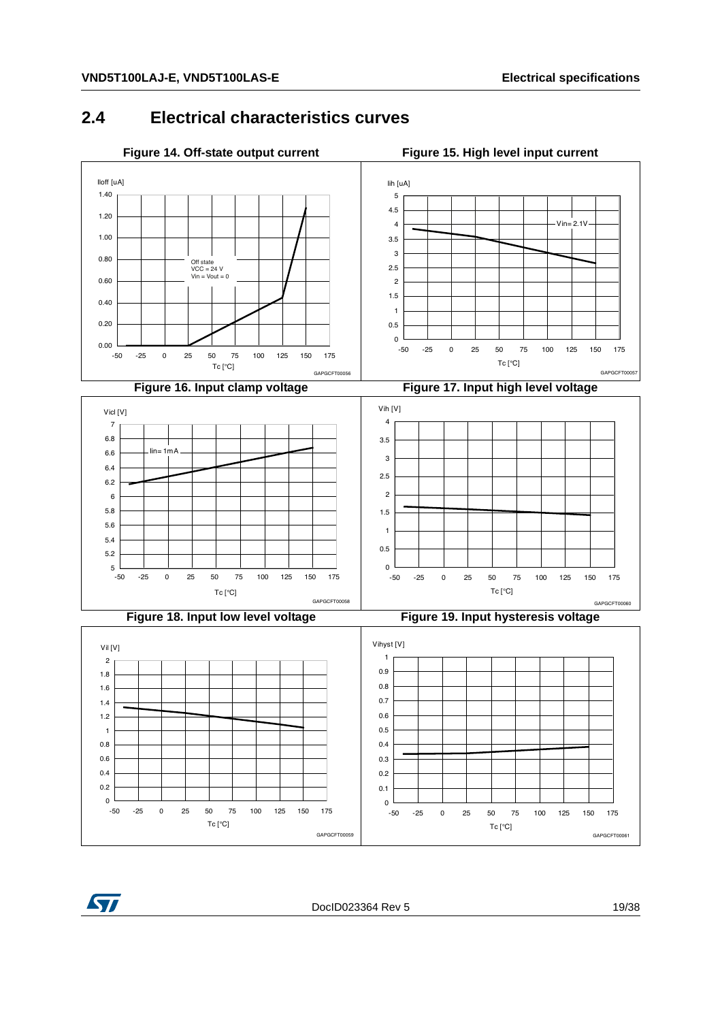#### <span id="page-18-4"></span><span id="page-18-2"></span><span id="page-18-0"></span>**2.4 Electrical characteristics curves**

<span id="page-18-5"></span><span id="page-18-3"></span><span id="page-18-1"></span>

<span id="page-18-6"></span>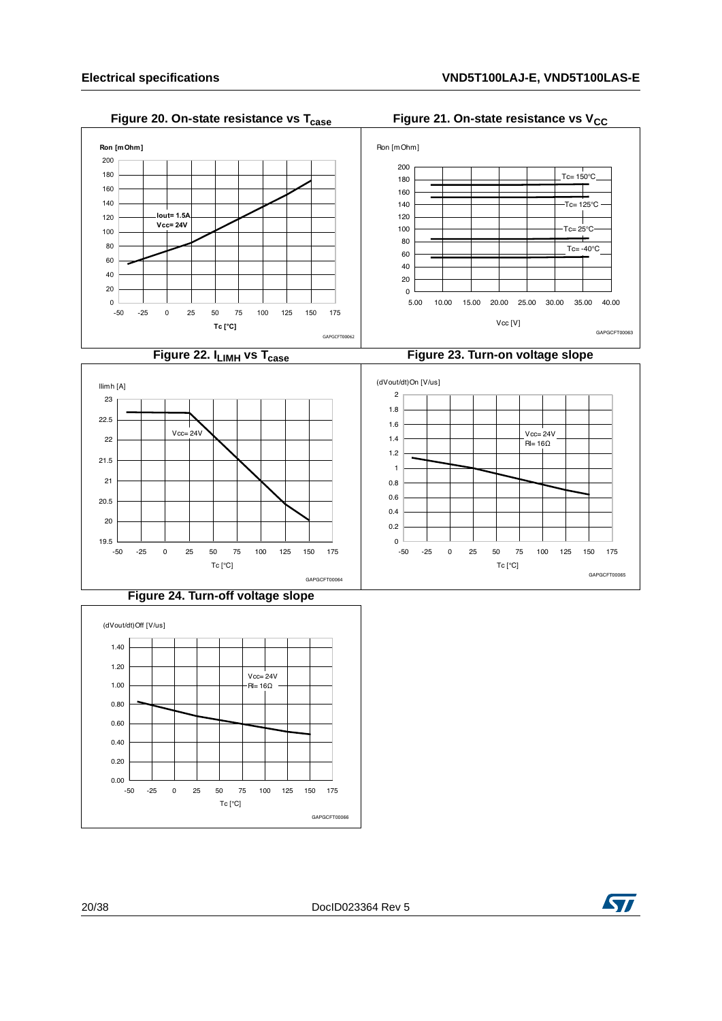#### <span id="page-19-1"></span>**Figure 20. On-state resistance vs T<sub>case</sub> Figure 21. On-state resistance vs V<sub>CC</sub>**

<span id="page-19-2"></span><span id="page-19-0"></span>

#### <span id="page-19-3"></span>**Figure 24. Turn-off voltage slope**

<span id="page-19-4"></span>

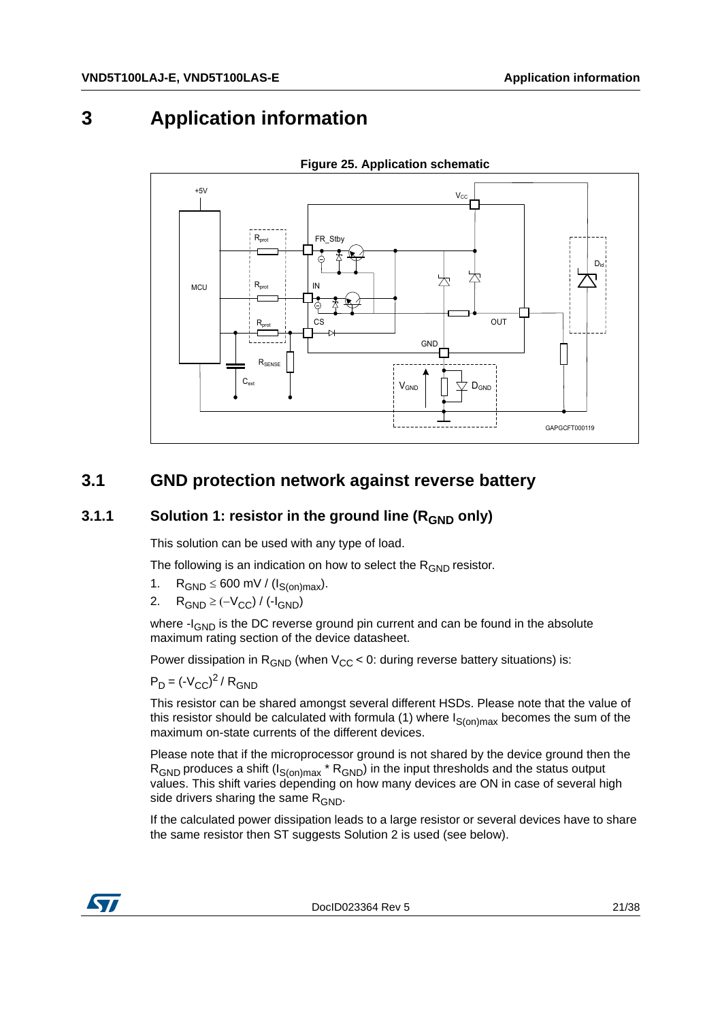# <span id="page-20-0"></span>**3 Application information**

<span id="page-20-3"></span>

**Figure 25. Application schematic**

## <span id="page-20-1"></span>**3.1 GND protection network against reverse battery**

#### <span id="page-20-2"></span>**3.1.1** Solution 1: resistor in the ground line (R<sub>GND</sub> only)

This solution can be used with any type of load.

The following is an indication on how to select the  $R_{GND}$  resistor.

- 1.  $R_{GND} \leq 600 \text{ mV} / (I_{S(on)max}).$
- 2.  $R_{GND} \geq (-V_{CC}) / (-I_{GND})$

where  $-I_{GND}$  is the DC reverse ground pin current and can be found in the absolute maximum rating section of the device datasheet.

Power dissipation in  $R_{GND}$  (when  $V_{CC}$  < 0: during reverse battery situations) is:

 $P_D = (-V_{CC})^2 / R_{GND}$ 

This resistor can be shared amongst several different HSDs. Please note that the value of this resistor should be calculated with formula (1) where  $I_{S(on)max}$  becomes the sum of the maximum on-state currents of the different devices.

Please note that if the microprocessor ground is not shared by the device ground then the  $R_{\text{GND}}$  produces a shift (I<sub>S(on)max</sub> \*  $R_{\text{GND}}$ ) in the input thresholds and the status output values. This shift varies depending on how many devices are ON in case of several high side drivers sharing the same  $R_{GND}$ .

If the calculated power dissipation leads to a large resistor or several devices have to share the same resistor then ST suggests Solution 2 is used (see below).



DocID023364 Rev 5 21/38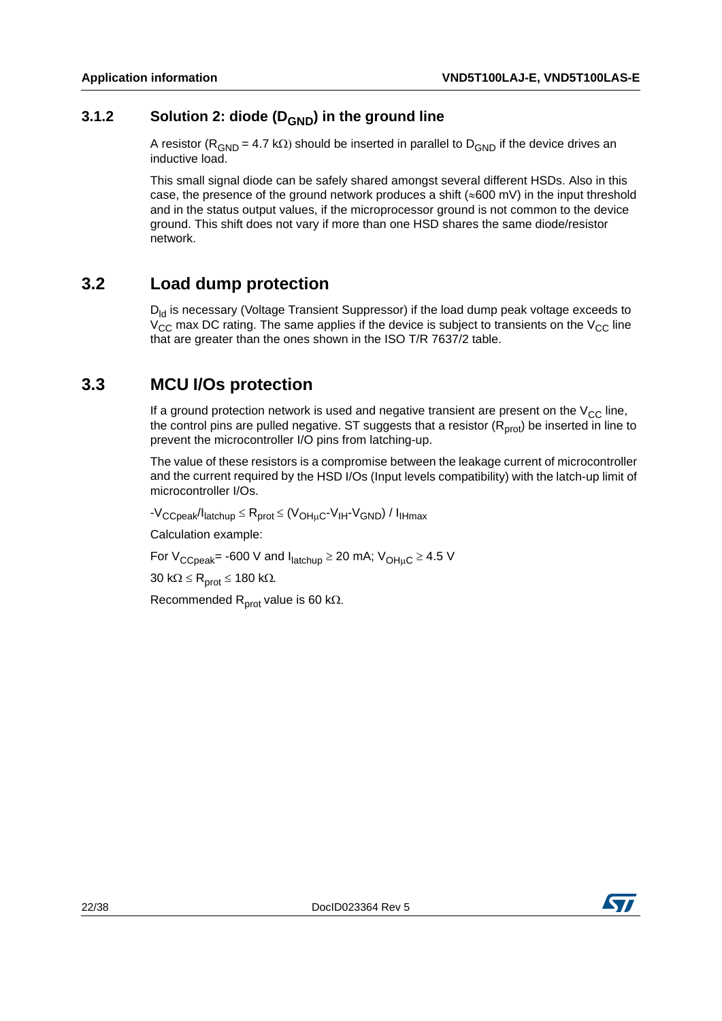#### <span id="page-21-0"></span>**3.1.2** Solution 2: diode (D<sub>GND</sub>) in the ground line

A resistor ( $R_{GND}$  = 4.7 k $\Omega$ ) should be inserted in parallel to  $D_{GND}$  if the device drives an inductive load.

This small signal diode can be safely shared amongst several different HSDs. Also in this case, the presence of the ground network produces a shift ( $\approx 600$  mV) in the input threshold and in the status output values, if the microprocessor ground is not common to the device ground. This shift does not vary if more than one HSD shares the same diode/resistor network.

## <span id="page-21-1"></span>**3.2 Load dump protection**

 $D_{\text{Id}}$  is necessary (Voltage Transient Suppressor) if the load dump peak voltage exceeds to  $V_{CC}$  max DC rating. The same applies if the device is subject to transients on the  $V_{CC}$  line that are greater than the ones shown in the ISO T/R 7637/2 table.

#### <span id="page-21-2"></span>**3.3 MCU I/Os protection**

If a ground protection network is used and negative transient are present on the  $V_{CC}$  line, the control pins are pulled negative. ST suggests that a resistor  $(R<sub>prot</sub>)$  be inserted in line to prevent the microcontroller I/O pins from latching-up.

The value of these resistors is a compromise between the leakage current of microcontroller and the current required by the HSD I/Os (Input levels compatibility) with the latch-up limit of microcontroller I/Os.

 $-V_{CCpeak}/I_{\text{latchup}} \leq R_{\text{prot}} \leq (V_{\text{OH}_{\text{ILC}}} - V_{\text{IH}} - V_{\text{GND}}) / I_{\text{IHmax}}$ 

Calculation example:

For  $V_{CCpeak}$  = -600 V and  $I_{latchup} \ge 20$  mA;  $V_{OHHC} \ge 4.5$  V

 $30 \text{ k}\Omega \le \text{R}_{\text{prot}} \le 180 \text{ k}\Omega.$ 

Recommended R<sub>prot</sub> value is 60 k $\Omega$ .

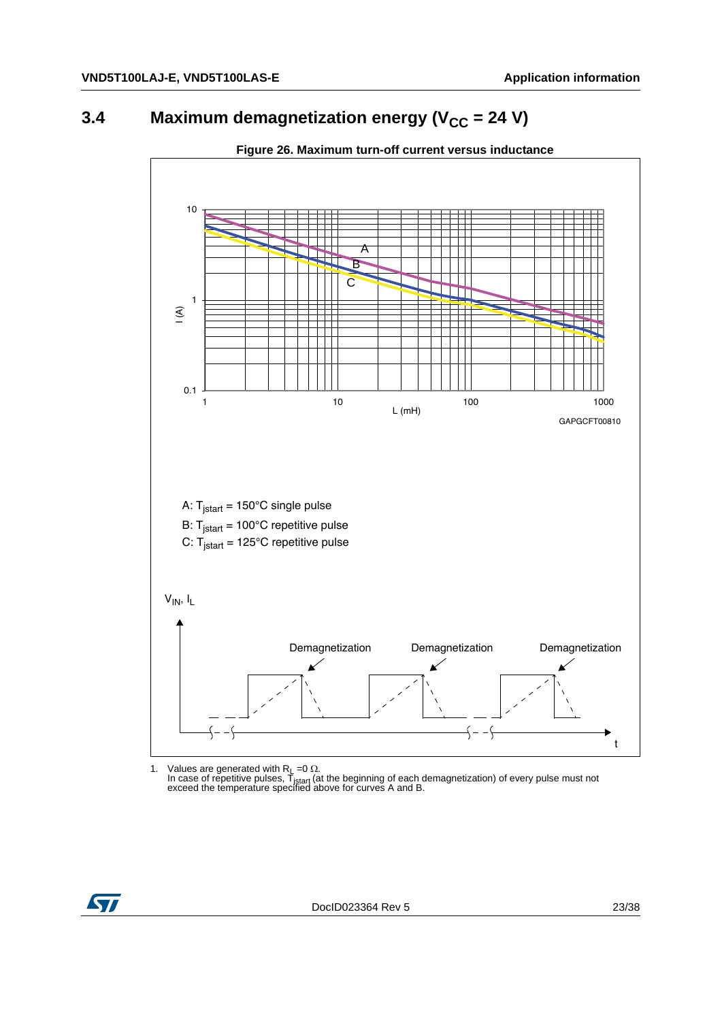# <span id="page-22-0"></span>**3.4** Maximum demagnetization energy (V<sub>CC</sub> = 24 V)

<span id="page-22-1"></span>

#### **Figure 26. Maximum turn-off current versus inductance**

1. Values are generated with R<sub>L</sub> =0 Ω.<br>In case of repetitive pulses, T<sub>istart</sub> (at the beginning of each demagnetization) of every pulse must not exceed the temperature specified above for curves A and B.

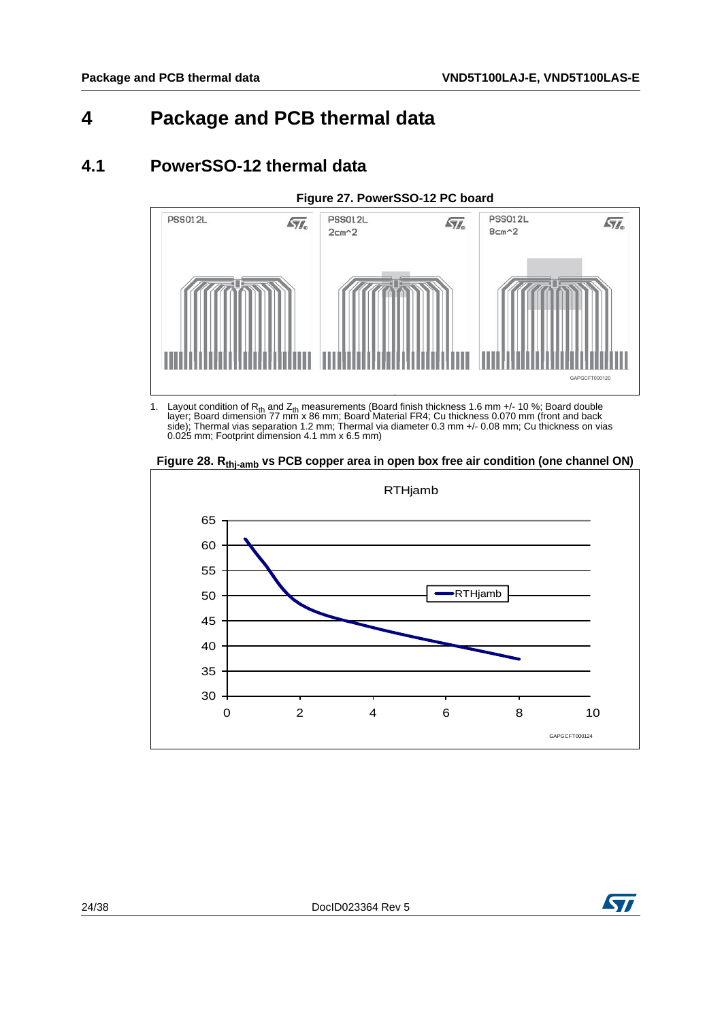# <span id="page-23-0"></span>**4 Package and PCB thermal data**

## <span id="page-23-1"></span>**4.1 PowerSSO-12 thermal data**

<span id="page-23-2"></span>

1. Layout condition of  $R_{th}$  and  $Z_{th}$  measurements (Board finish thickness 1.6 mm +/- 10 %; Board double<br>layer; Board dimension 77 mm x 86 mm; Board Material FR4; Cu thickness 0.070 mm (front and back<br>side); Thermal vi 0.025 mm; Footprint dimension 4.1 mm x 6.5 mm)

<span id="page-23-3"></span>Figure 28. R<sub>thi-amb</sub> vs PCB copper area in open box free air condition (one channel ON)



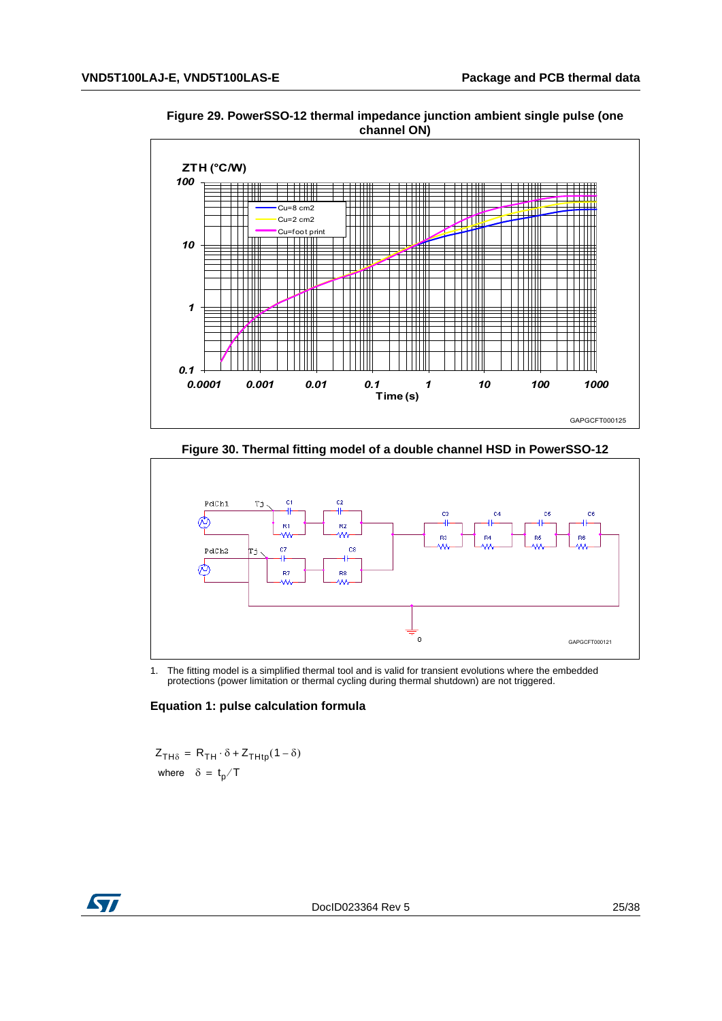<span id="page-24-0"></span>**Figure 29. PowerSSO-12 thermal impedance junction ambient single pulse (one channel ON)**



**Figure 30. Thermal fitting model of a double channel HSD in PowerSSO-12**

<span id="page-24-1"></span>

1. The fitting model is a simplified thermal tool and is valid for transient evolutions where the embedded protections (power limitation or thermal cycling during thermal shutdown) are not triggered.

#### **Equation 1: pulse calculation formula**

 $Z_{TH\delta} = R_{TH} \cdot \delta + Z_{THtp} (1 - \delta)$ where  $\delta = \frac{t}{p}$  T

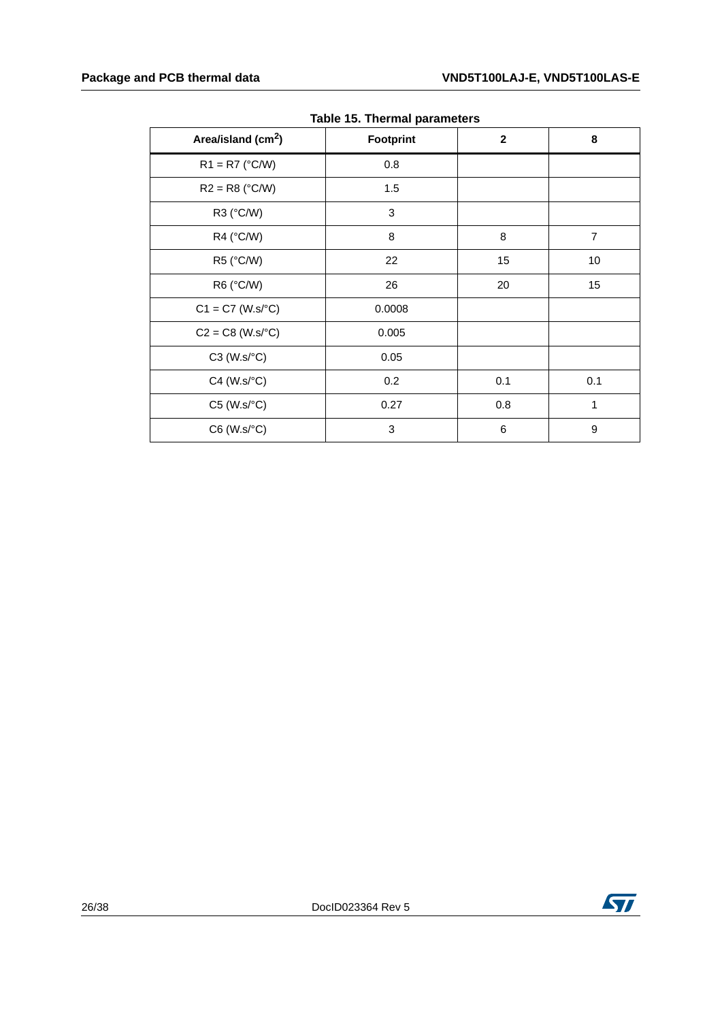<span id="page-25-0"></span>

| Area/island (cm <sup>2</sup> ) | <b>Footprint</b> | $\mathbf{2}$ | 8              |
|--------------------------------|------------------|--------------|----------------|
| $R1 = R7$ (°C/W)               | 0.8              |              |                |
| $R2 = R8$ (°C/W)               | 1.5              |              |                |
| R3 (°C/W)                      | 3                |              |                |
| R4 (°C/W)                      | 8                | 8            | $\overline{7}$ |
| R5 (°C/W)                      | 22               | 15           | 10             |
| R6 (°C/W)                      | 26               | 20           | 15             |
| $C1 = C7$ (W.s/°C)             | 0.0008           |              |                |
| $C2 = C8$ (W.s/ $^{\circ}C$ )  | 0.005            |              |                |
| $C3$ (W.s/ $°C$ )              | 0.05             |              |                |
| $C4$ (W.s/ $°C$ )              | 0.2              | 0.1          | 0.1            |
| $C5$ (W.s/ $\textdegree C$ )   | 0.27             | 0.8          | $\mathbf{1}$   |
| $C6$ (W.s/ $°C$ )              | 3                | 6            | 9              |

**Table 15. Thermal parameters**

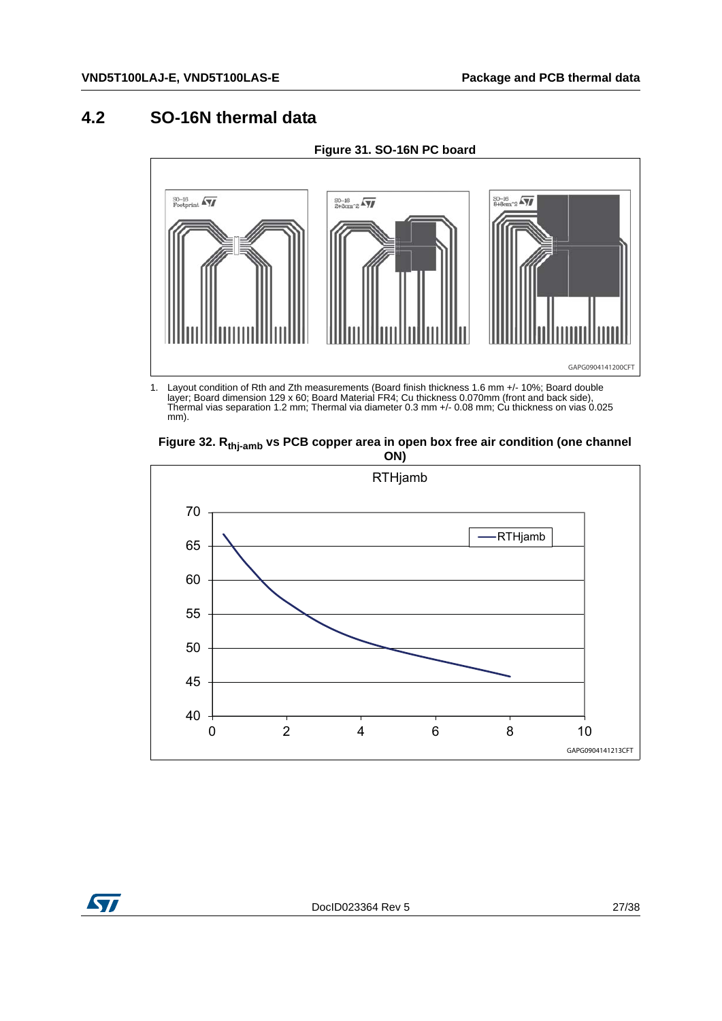## <span id="page-26-0"></span>**4.2 SO-16N thermal data**

<span id="page-26-1"></span>

**Figure 31. SO-16N PC board**

1. Layout condition of Rth and Zth measurements (Board finish thickness 1.6 mm +/- 10%; Board double<br>layer; Board dimension 129 x 60; Board Material FR4; Cu thickness 0.070mm (front and back side),<br>Thermal vias separation mm).

<span id="page-26-2"></span>



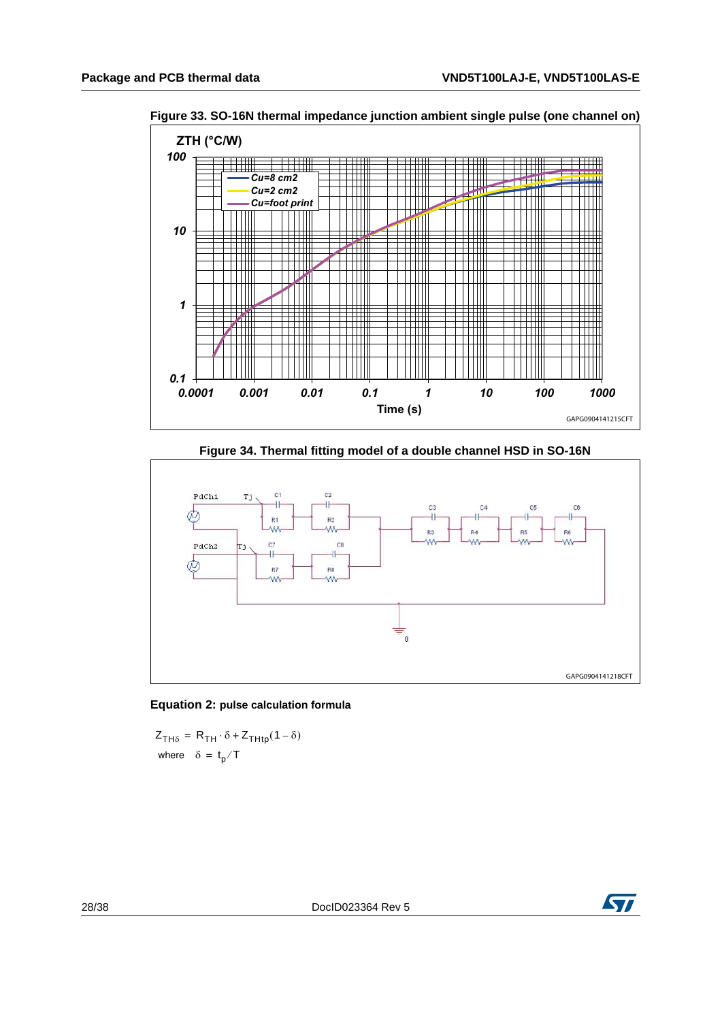

<span id="page-27-0"></span>**Figure 33. SO-16N thermal impedance junction ambient single pulse (one channel on)**

**Figure 34. Thermal fitting model of a double channel HSD in SO-16N**

<span id="page-27-1"></span>



 $Z_{TH\delta} = R_{TH} \cdot \delta + Z_{THtp}(1 - \delta)$ where  $\delta = \frac{t}{p}$  T

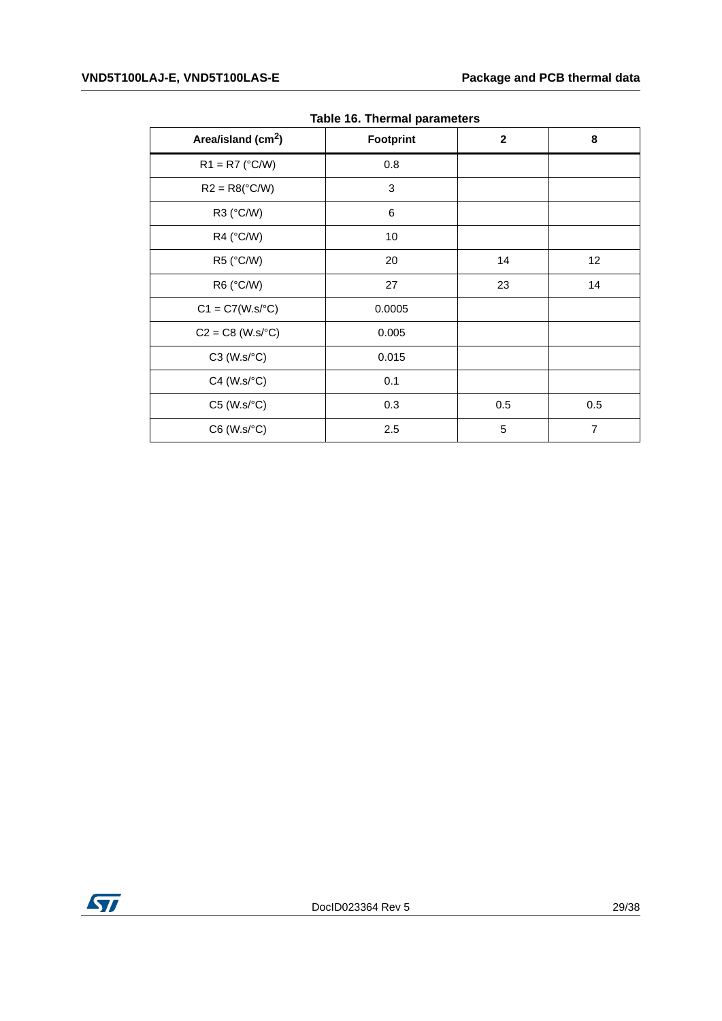<span id="page-28-0"></span>

| Area/island (cm <sup>2</sup> ) | Footprint | $\mathbf{2}$ | 8              |
|--------------------------------|-----------|--------------|----------------|
| $R1 = R7$ (°C/W)               | 0.8       |              |                |
| $R2 = R8(^{\circ}C/W)$         | 3         |              |                |
| R3 (°C/W)                      | 6         |              |                |
| R4 (°C/W)                      | 10        |              |                |
| R5 (°C/W)                      | 20        | 14           | 12             |
| R6 (°C/W)                      | 27        | 23           | 14             |
| $C1 = C7(W.s/°C)$              | 0.0005    |              |                |
| $C2 = C8$ (W.s/ $^{\circ}C$ )  | 0.005     |              |                |
| $C3$ (W.s/ $\textdegree C$ )   | 0.015     |              |                |
| $C4$ (W.s/ $°C$ )              | 0.1       |              |                |
| $C5$ (W.s/ $\textdegree C$ )   | 0.3       | 0.5          | 0.5            |
| $C6$ (W.s/ $°C$ )              | 2.5       | 5            | $\overline{7}$ |

**Table 16. Thermal parameters**

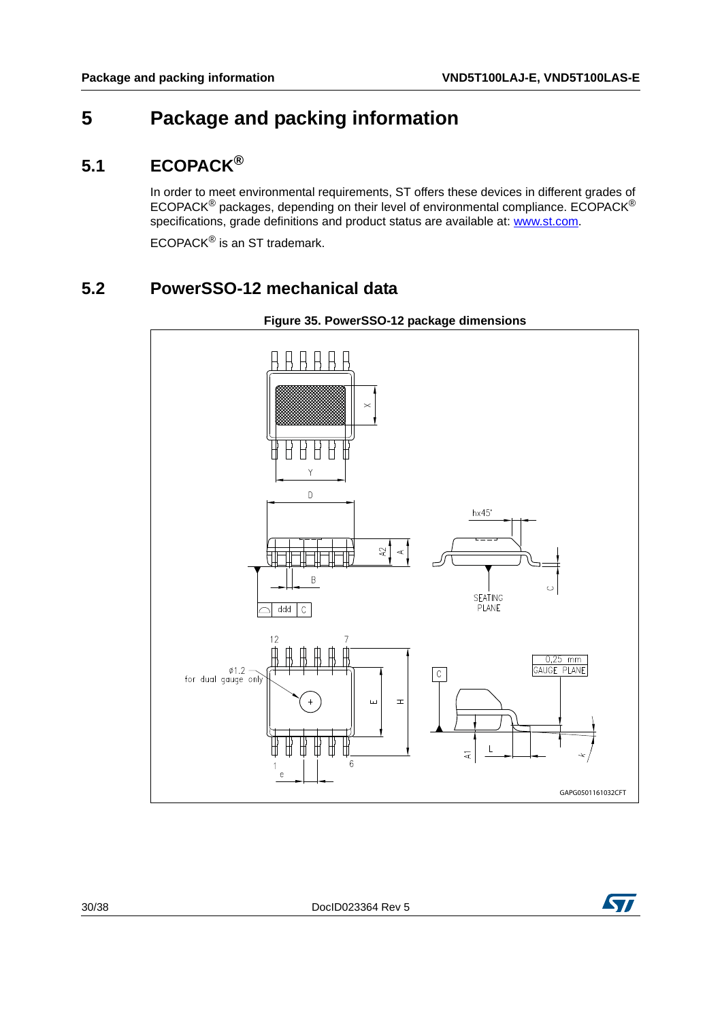# <span id="page-29-0"></span>**5 Package and packing information**

## <span id="page-29-1"></span>**5.1 ECOPACK®**

In order to meet environmental requirements, ST offers these devices in different grades of ECOPACK® packages, depending on their level of environmental compliance. ECOPACK® specifications, grade definitions and product status are available at: www.st.com.

ECOPACK® is an ST trademark.

## <span id="page-29-2"></span>**5.2 PowerSSO-12 mechanical data**



<span id="page-29-3"></span>



30/38 DocID023364 Rev 5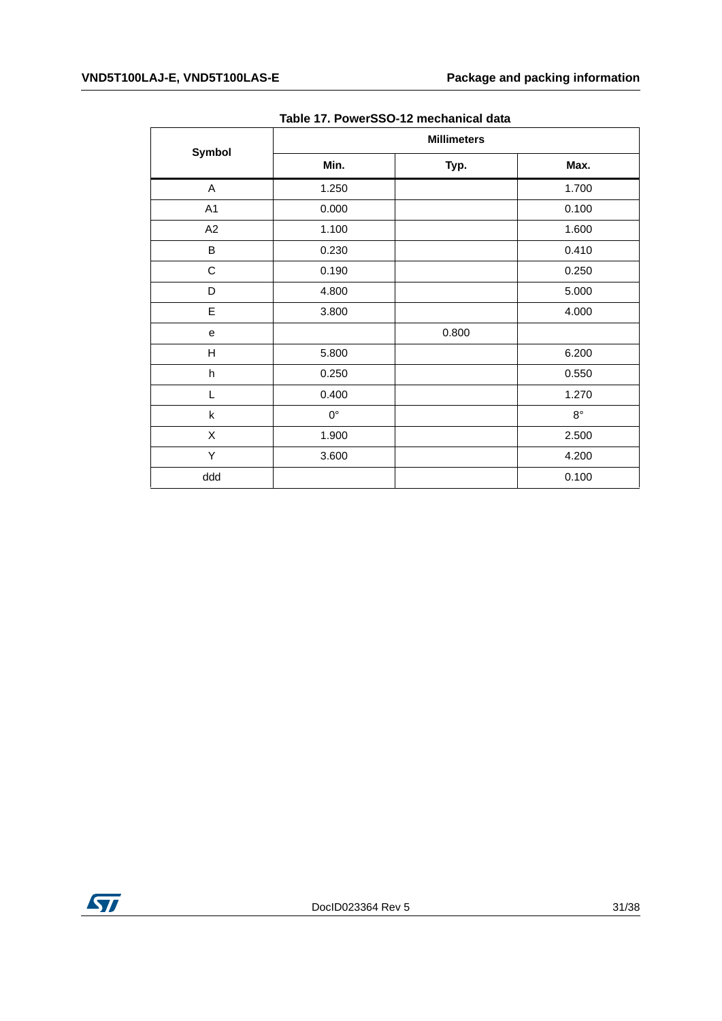#### **VND5T100LAJ-E, VND5T100LAS-E Package and packing information**

<span id="page-30-0"></span>

|                | <b>Millimeters</b> |       |             |  |
|----------------|--------------------|-------|-------------|--|
| Symbol         | Min.               | Typ.  | Max.        |  |
| A              | 1.250              |       | 1.700       |  |
| A <sub>1</sub> | 0.000              |       | 0.100       |  |
| A2             | 1.100              |       | 1.600       |  |
| B              | 0.230              |       | 0.410       |  |
| $\mathsf C$    | 0.190              |       | 0.250       |  |
| D              | 4.800              |       | 5.000       |  |
| E              | 3.800              |       | 4.000       |  |
| e              |                    | 0.800 |             |  |
| Н              | 5.800              |       | 6.200       |  |
| h              | 0.250              |       | 0.550       |  |
| L              | 0.400              |       | 1.270       |  |
| k              | $0^{\circ}$        |       | $8^{\circ}$ |  |
| X              | 1.900              |       | 2.500       |  |
| Υ              | 3.600              |       | 4.200       |  |
| ddd            |                    |       | 0.100       |  |

#### **Table 17. PowerSSO-12 mechanical data**

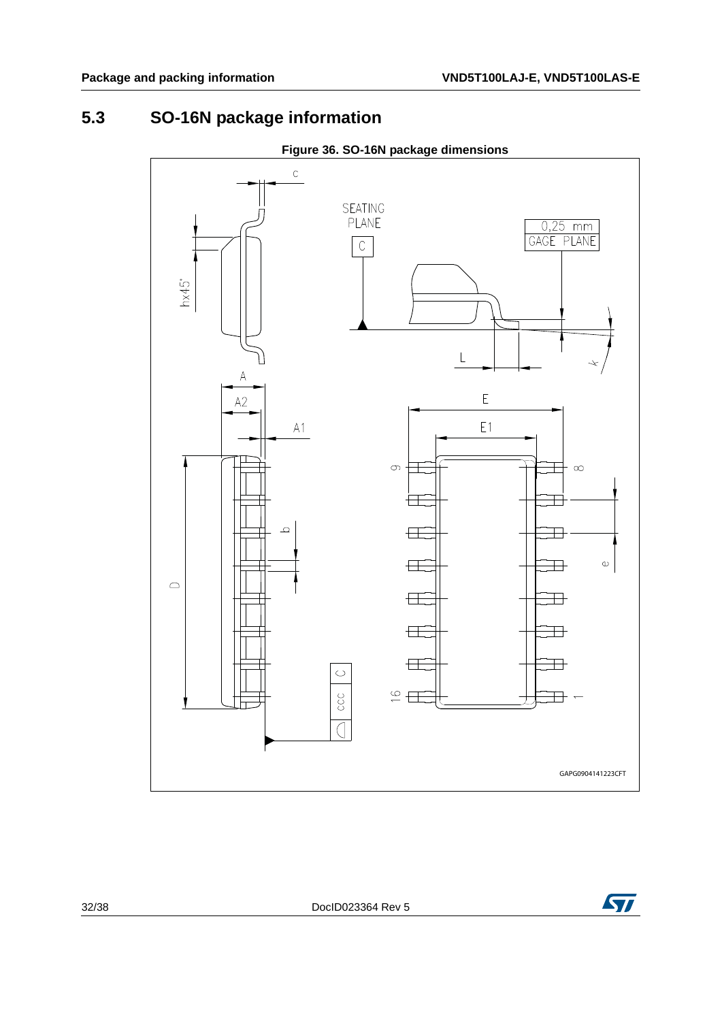# <span id="page-31-0"></span>**5.3 SO-16N package information**

<span id="page-31-1"></span>

**Figure 36. SO-16N package dimensions**



32/38 DocID023364 Rev 5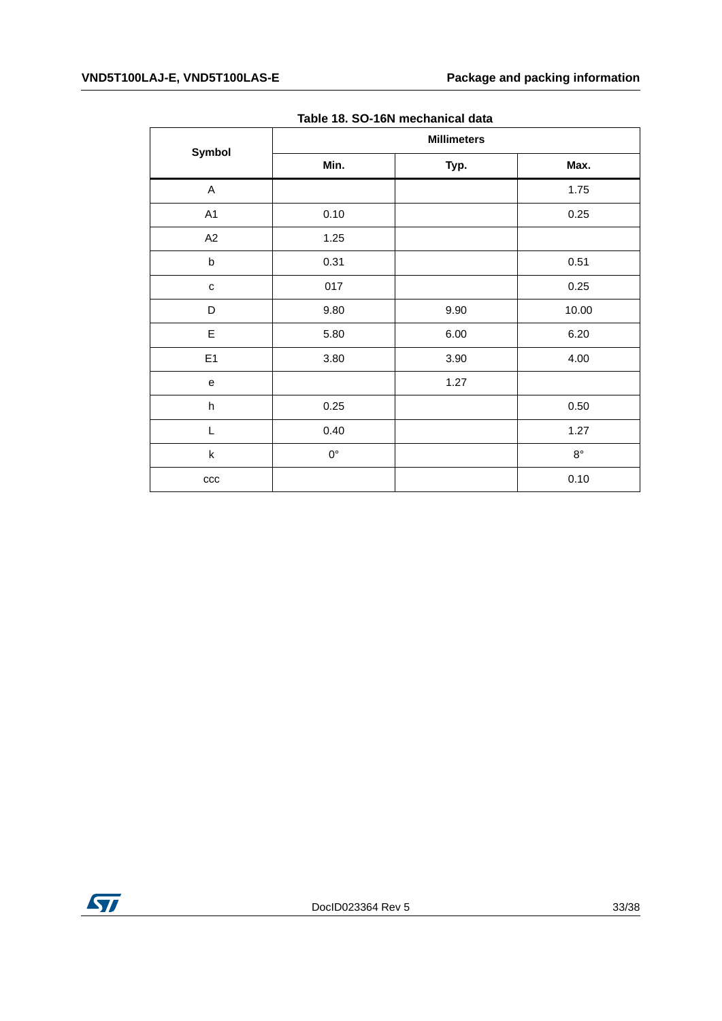#### **VND5T100LAJ-E, VND5T100LAS-E Package and packing information**

<span id="page-32-0"></span>

|                           | <b>Millimeters</b> |      |             |  |
|---------------------------|--------------------|------|-------------|--|
| Symbol                    | Min.               | Typ. | Max.        |  |
| A                         |                    |      | 1.75        |  |
| A1                        | 0.10               |      | 0.25        |  |
| A2                        | 1.25               |      |             |  |
| $\sf b$                   | 0.31               |      | 0.51        |  |
| $\mathbf{C}$              | 017                |      | 0.25        |  |
| D                         | 9.80               | 9.90 | 10.00       |  |
| E                         | 5.80               | 6.00 | 6.20        |  |
| E1                        | 3.80               | 3.90 | 4.00        |  |
| e                         |                    | 1.27 |             |  |
| $\boldsymbol{\mathsf{h}}$ | 0.25               |      | 0.50        |  |
| L                         | 0.40               |      | 1.27        |  |
| $\sf k$                   | $0^{\circ}$        |      | $8^{\circ}$ |  |
| ccc                       |                    |      | 0.10        |  |

|  | Table 18. SO-16N mechanical data |  |
|--|----------------------------------|--|
|  |                                  |  |

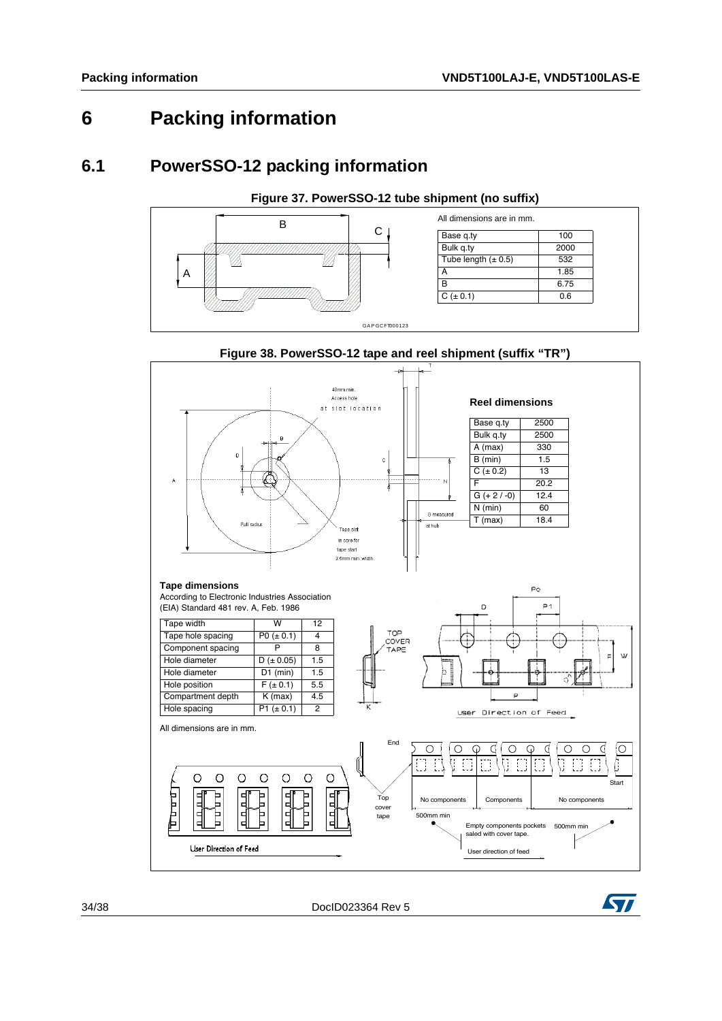# <span id="page-33-0"></span>**6 Packing information**

#### <span id="page-33-1"></span>**6.1 PowerSSO-12 packing information**

<span id="page-33-2"></span>

<span id="page-33-3"></span>

**Figure 38. PowerSSO-12 tape and reel shipment (suffix "TR")**

34/38 DocID023364 Rev 5

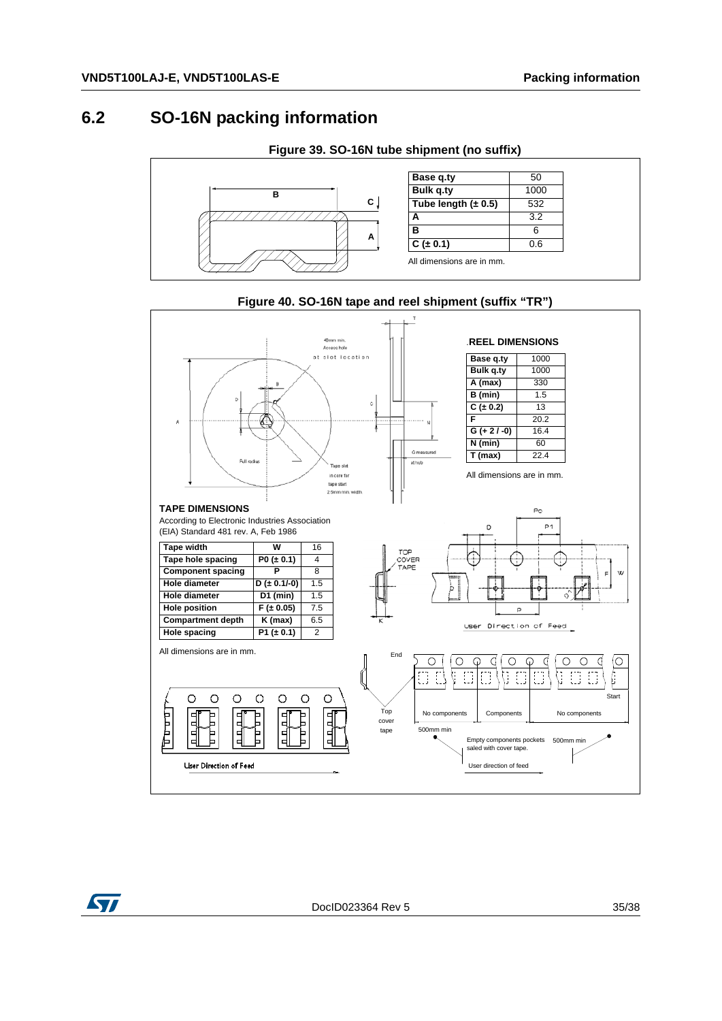#### <span id="page-34-0"></span>**6.2 SO-16N packing information**

<span id="page-34-1"></span>



<span id="page-34-2"></span>

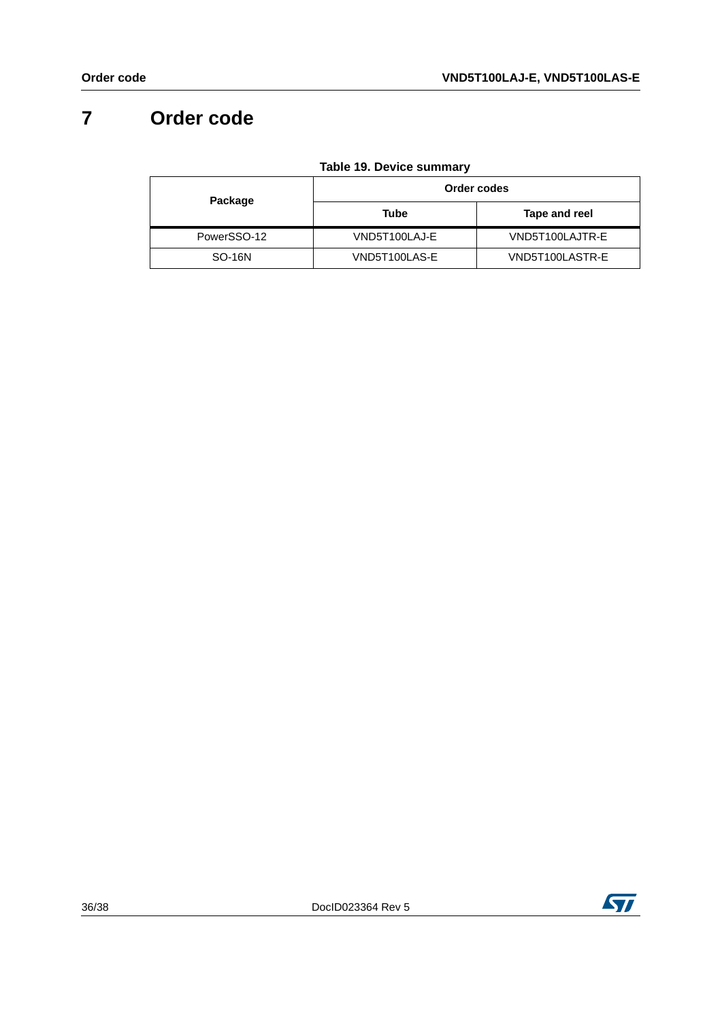# <span id="page-35-0"></span>**7 Order code**

|  | <b>Table 19. Device summary</b> |
|--|---------------------------------|
|  |                                 |

<span id="page-35-1"></span>

| Package       | Order codes   |                 |  |
|---------------|---------------|-----------------|--|
|               | Tube          | Tape and reel   |  |
| PowerSSO-12   | VND5T100LAJ-E | VND5T100LAJTR-E |  |
| <b>SO-16N</b> | VND5T100LAS-E | VND5T100LASTR-E |  |

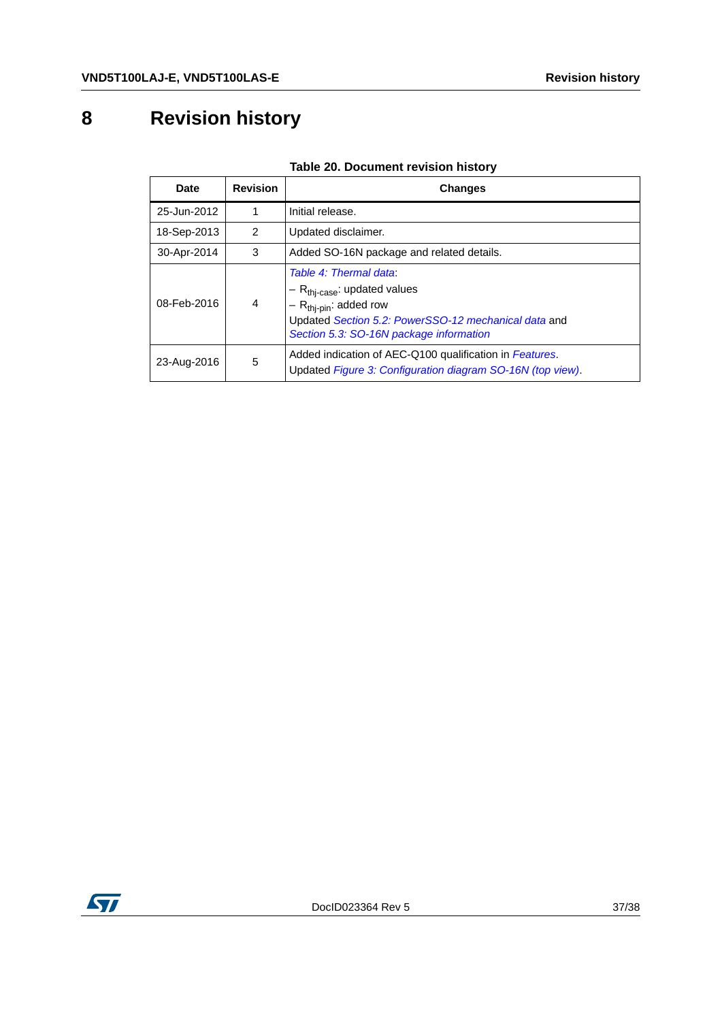# <span id="page-36-0"></span>**8 Revision history**

<span id="page-36-1"></span>

| <b>Date</b> | <b>Revision</b> | <b>Changes</b>                                                                                                                                                                                               |
|-------------|-----------------|--------------------------------------------------------------------------------------------------------------------------------------------------------------------------------------------------------------|
| 25-Jun-2012 |                 | Initial release.                                                                                                                                                                                             |
| 18-Sep-2013 | $\mathcal{P}$   | Updated disclaimer.                                                                                                                                                                                          |
| 30-Apr-2014 | 3               | Added SO-16N package and related details.                                                                                                                                                                    |
| 08-Feb-2016 | $\overline{4}$  | Table 4: Thermal data:<br>$-R_{\text{thi-case}}$ : updated values<br>$-$ R <sub>thj-pin</sub> : added row<br>Updated Section 5.2: PowerSSO-12 mechanical data and<br>Section 5.3: SO-16N package information |
| 23-Aug-2016 | 5               | Added indication of AEC-Q100 qualification in Features.<br>Updated Figure 3: Configuration diagram SO-16N (top view).                                                                                        |

#### **Table 20. Document revision history**